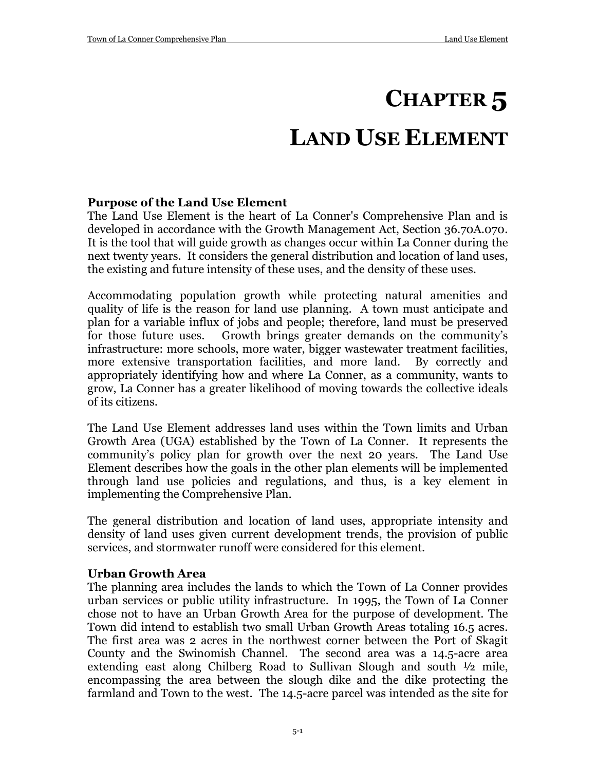# **CHAPTER 5 LAND USE ELEMENT**

#### **Purpose of the Land Use Element**

The Land Use Element is the heart of La Conner's Comprehensive Plan and is developed in accordance with the Growth Management Act, Section 36.70A.070. It is the tool that will guide growth as changes occur within La Conner during the next twenty years. It considers the general distribution and location of land uses, the existing and future intensity of these uses, and the density of these uses.

Accommodating population growth while protecting natural amenities and quality of life is the reason for land use planning. A town must anticipate and plan for a variable influx of jobs and people; therefore, land must be preserved for those future uses. Growth brings greater demands on the community's infrastructure: more schools, more water, bigger wastewater treatment facilities, more extensive transportation facilities, and more land. By correctly and appropriately identifying how and where La Conner, as a community, wants to grow, La Conner has a greater likelihood of moving towards the collective ideals of its citizens.

The Land Use Element addresses land uses within the Town limits and Urban Growth Area (UGA) established by the Town of La Conner. It represents the community's policy plan for growth over the next 20 years. The Land Use Element describes how the goals in the other plan elements will be implemented through land use policies and regulations, and thus, is a key element in implementing the Comprehensive Plan.

The general distribution and location of land uses, appropriate intensity and density of land uses given current development trends, the provision of public services, and stormwater runoff were considered for this element.

#### **Urban Growth Area**

The planning area includes the lands to which the Town of La Conner provides urban services or public utility infrastructure. In 1995, the Town of La Conner chose not to have an Urban Growth Area for the purpose of development. The Town did intend to establish two small Urban Growth Areas totaling 16.5 acres. The first area was 2 acres in the northwest corner between the Port of Skagit County and the Swinomish Channel. The second area was a 14.5-acre area extending east along Chilberg Road to Sullivan Slough and south ½ mile, encompassing the area between the slough dike and the dike protecting the farmland and Town to the west. The 14.5-acre parcel was intended as the site for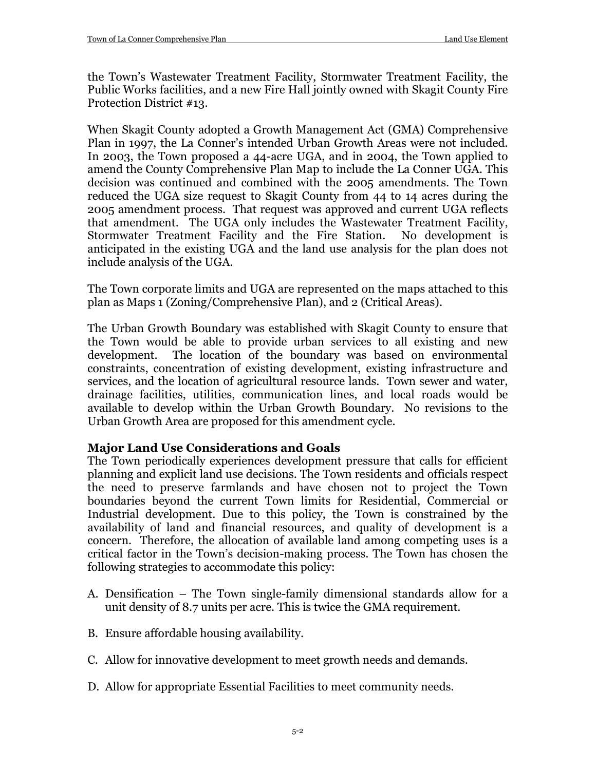the Town's Wastewater Treatment Facility, Stormwater Treatment Facility, the Public Works facilities, and a new Fire Hall jointly owned with Skagit County Fire Protection District #13.

When Skagit County adopted a Growth Management Act (GMA) Comprehensive Plan in 1997, the La Conner's intended Urban Growth Areas were not included. In 2003, the Town proposed a 44-acre UGA, and in 2004, the Town applied to amend the County Comprehensive Plan Map to include the La Conner UGA. This decision was continued and combined with the 2005 amendments. The Town reduced the UGA size request to Skagit County from 44 to 14 acres during the 2005 amendment process. That request was approved and current UGA reflects that amendment. The UGA only includes the Wastewater Treatment Facility, Stormwater Treatment Facility and the Fire Station. No development is anticipated in the existing UGA and the land use analysis for the plan does not include analysis of the UGA.

The Town corporate limits and UGA are represented on the maps attached to this plan as Maps 1 (Zoning/Comprehensive Plan), and 2 (Critical Areas).

The Urban Growth Boundary was established with Skagit County to ensure that the Town would be able to provide urban services to all existing and new development. The location of the boundary was based on environmental constraints, concentration of existing development, existing infrastructure and services, and the location of agricultural resource lands. Town sewer and water, drainage facilities, utilities, communication lines, and local roads would be available to develop within the Urban Growth Boundary. No revisions to the Urban Growth Area are proposed for this amendment cycle.

#### **Major Land Use Considerations and Goals**

The Town periodically experiences development pressure that calls for efficient planning and explicit land use decisions. The Town residents and officials respect the need to preserve farmlands and have chosen not to project the Town boundaries beyond the current Town limits for Residential, Commercial or Industrial development. Due to this policy, the Town is constrained by the availability of land and financial resources, and quality of development is a concern. Therefore, the allocation of available land among competing uses is a critical factor in the Town's decision-making process. The Town has chosen the following strategies to accommodate this policy:

- A. Densification The Town single-family dimensional standards allow for a unit density of 8.7 units per acre. This is twice the GMA requirement.
- B. Ensure affordable housing availability.
- C. Allow for innovative development to meet growth needs and demands.
- D. Allow for appropriate Essential Facilities to meet community needs.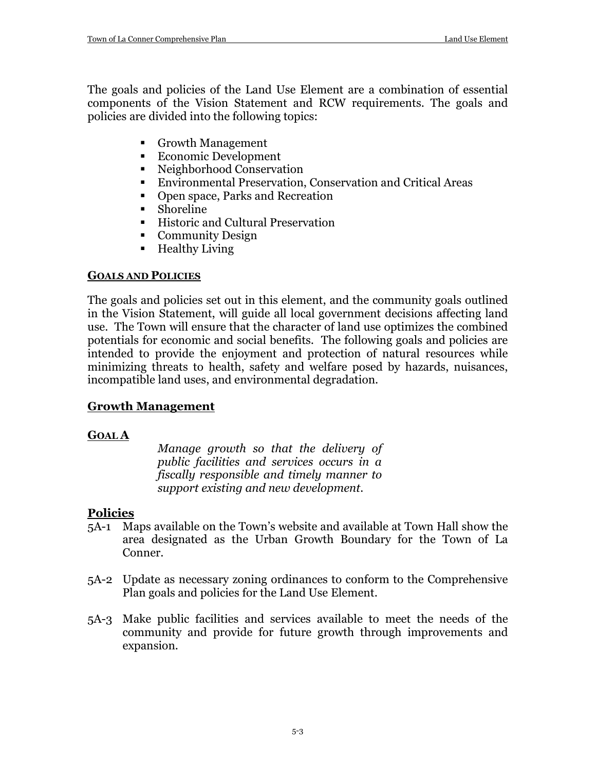The goals and policies of the Land Use Element are a combination of essential components of the Vision Statement and RCW requirements. The goals and policies are divided into the following topics:

- Growth Management
- Economic Development
- Neighborhood Conservation
- Environmental Preservation, Conservation and Critical Areas
- Open space, Parks and Recreation
- Shoreline
- Historic and Cultural Preservation
- Community Design
- Healthy Living

## **GOALS AND POLICIES**

The goals and policies set out in this element, and the community goals outlined in the Vision Statement, will guide all local government decisions affecting land use. The Town will ensure that the character of land use optimizes the combined potentials for economic and social benefits. The following goals and policies are intended to provide the enjoyment and protection of natural resources while minimizing threats to health, safety and welfare posed by hazards, nuisances, incompatible land uses, and environmental degradation.

## **Growth Management**

## **GOAL A**

*Manage growth so that the delivery of public facilities and services occurs in a fiscally responsible and timely manner to support existing and new development.*

- 5A-1 Maps available on the Town's website and available at Town Hall show the area designated as the Urban Growth Boundary for the Town of La Conner.
- 5A-2 Update as necessary zoning ordinances to conform to the Comprehensive Plan goals and policies for the Land Use Element.
- 5A-3 Make public facilities and services available to meet the needs of the community and provide for future growth through improvements and expansion.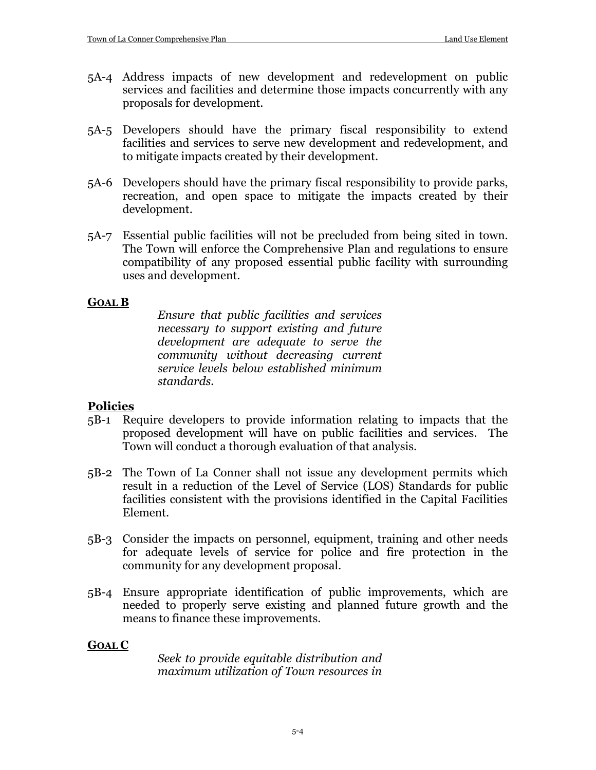- 5A-4 Address impacts of new development and redevelopment on public services and facilities and determine those impacts concurrently with any proposals for development.
- 5A-5 Developers should have the primary fiscal responsibility to extend facilities and services to serve new development and redevelopment, and to mitigate impacts created by their development.
- 5A-6 Developers should have the primary fiscal responsibility to provide parks, recreation, and open space to mitigate the impacts created by their development.
- 5A-7 Essential public facilities will not be precluded from being sited in town. The Town will enforce the Comprehensive Plan and regulations to ensure compatibility of any proposed essential public facility with surrounding uses and development.

#### **GOAL B**

*Ensure that public facilities and services necessary to support existing and future development are adequate to serve the community without decreasing current service levels below established minimum standards.*

#### **Policies**

- 5B-1 Require developers to provide information relating to impacts that the proposed development will have on public facilities and services. The Town will conduct a thorough evaluation of that analysis.
- 5B-2 The Town of La Conner shall not issue any development permits which result in a reduction of the Level of Service (LOS) Standards for public facilities consistent with the provisions identified in the Capital Facilities Element.
- 5B-3 Consider the impacts on personnel, equipment, training and other needs for adequate levels of service for police and fire protection in the community for any development proposal.
- 5B-4 Ensure appropriate identification of public improvements, which are needed to properly serve existing and planned future growth and the means to finance these improvements.

#### **GOAL C**

*Seek to provide equitable distribution and maximum utilization of Town resources in*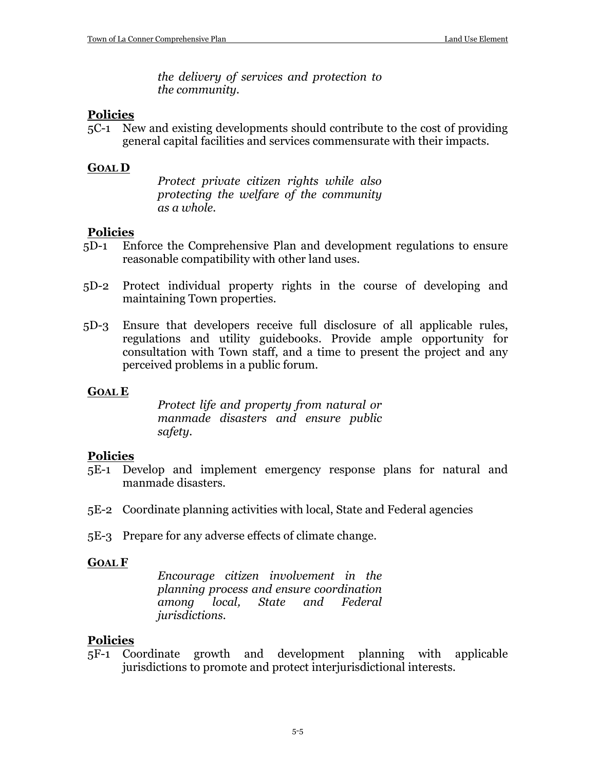*the delivery of services and protection to the community.*

#### **Policies**

5C-1 New and existing developments should contribute to the cost of providing general capital facilities and services commensurate with their impacts.

#### **GOAL D**

*Protect private citizen rights while also protecting the welfare of the community as a whole.*

#### **Policies**

- 5D-1 Enforce the Comprehensive Plan and development regulations to ensure reasonable compatibility with other land uses.
- 5D-2 Protect individual property rights in the course of developing and maintaining Town properties.
- 5D-3 Ensure that developers receive full disclosure of all applicable rules, regulations and utility guidebooks. Provide ample opportunity for consultation with Town staff, and a time to present the project and any perceived problems in a public forum.

#### **GOAL E**

*Protect life and property from natural or manmade disasters and ensure public safety.*

#### **Policies**

- 5E-1 Develop and implement emergency response plans for natural and manmade disasters.
- 5E-2 Coordinate planning activities with local, State and Federal agencies
- 5E-3 Prepare for any adverse effects of climate change.

#### **GOAL F**

*Encourage citizen involvement in the planning process and ensure coordination among local, State and Federal jurisdictions.*

#### **Policies**

5F-1 Coordinate growth and development planning with applicable jurisdictions to promote and protect interjurisdictional interests.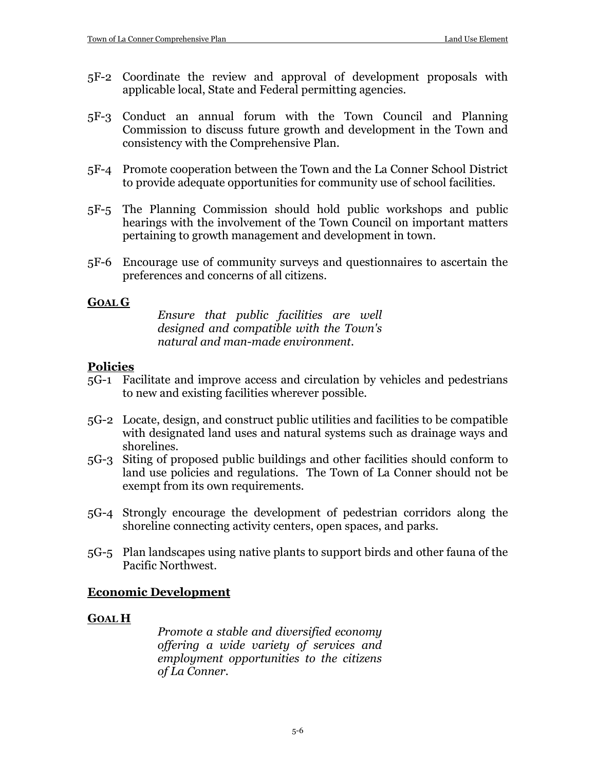- 5F-2 Coordinate the review and approval of development proposals with applicable local, State and Federal permitting agencies.
- 5F-3 Conduct an annual forum with the Town Council and Planning Commission to discuss future growth and development in the Town and consistency with the Comprehensive Plan.
- 5F-4 Promote cooperation between the Town and the La Conner School District to provide adequate opportunities for community use of school facilities.
- 5F-5 The Planning Commission should hold public workshops and public hearings with the involvement of the Town Council on important matters pertaining to growth management and development in town.
- 5F-6 Encourage use of community surveys and questionnaires to ascertain the preferences and concerns of all citizens.

#### **GOAL G**

*Ensure that public facilities are well designed and compatible with the Town's natural and man-made environment.*

#### **Policies**

- 5G-1 Facilitate and improve access and circulation by vehicles and pedestrians to new and existing facilities wherever possible.
- 5G-2 Locate, design, and construct public utilities and facilities to be compatible with designated land uses and natural systems such as drainage ways and shorelines.
- 5G-3 Siting of proposed public buildings and other facilities should conform to land use policies and regulations. The Town of La Conner should not be exempt from its own requirements.
- 5G-4 Strongly encourage the development of pedestrian corridors along the shoreline connecting activity centers, open spaces, and parks.
- 5G-5 Plan landscapes using native plants to support birds and other fauna of the Pacific Northwest.

#### **Economic Development**

#### **GOAL H**

*Promote a stable and diversified economy offering a wide variety of services and employment opportunities to the citizens of La Conner.*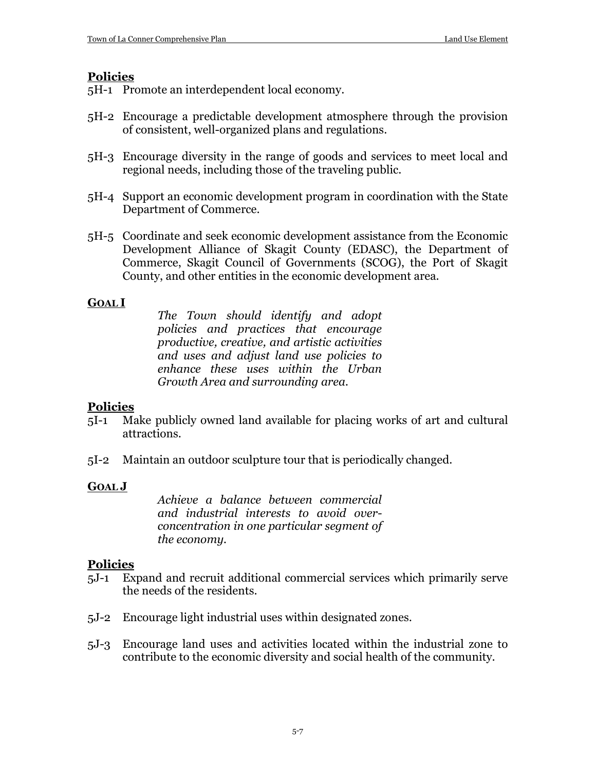## **Policies**

5H-1 Promote an interdependent local economy.

- 5H-2 Encourage a predictable development atmosphere through the provision of consistent, well-organized plans and regulations.
- 5H-3 Encourage diversity in the range of goods and services to meet local and regional needs, including those of the traveling public.
- 5H-4 Support an economic development program in coordination with the State Department of Commerce.
- 5H-5 Coordinate and seek economic development assistance from the Economic Development Alliance of Skagit County (EDASC), the Department of Commerce, Skagit Council of Governments (SCOG), the Port of Skagit County, and other entities in the economic development area.

## **GOAL I**

*The Town should identify and adopt policies and practices that encourage productive, creative, and artistic activities and uses and adjust land use policies to enhance these uses within the Urban Growth Area and surrounding area.*

## **Policies**

- 5I-1 Make publicly owned land available for placing works of art and cultural attractions.
- 5I-2 Maintain an outdoor sculpture tour that is periodically changed.

#### **GOAL J**

*Achieve a balance between commercial and industrial interests to avoid overconcentration in one particular segment of the economy.*

- 5J-1 Expand and recruit additional commercial services which primarily serve the needs of the residents.
- 5J-2 Encourage light industrial uses within designated zones.
- 5J-3 Encourage land uses and activities located within the industrial zone to contribute to the economic diversity and social health of the community.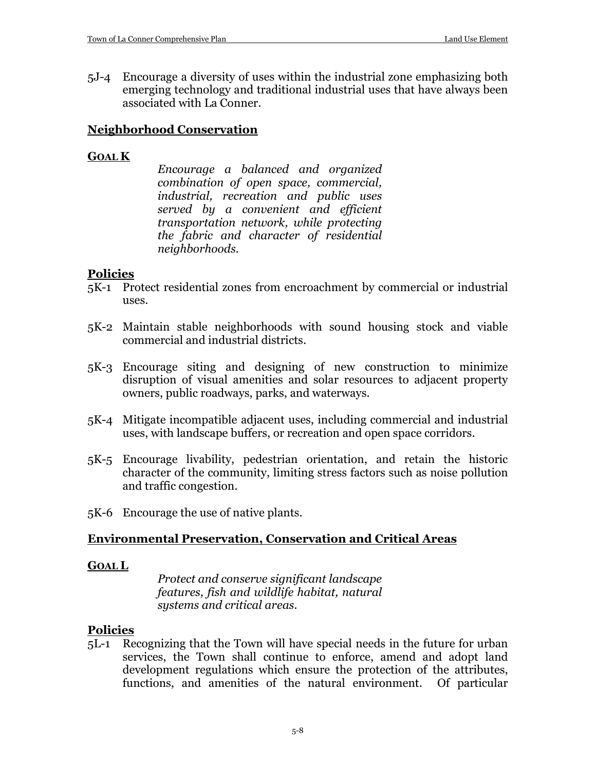5J-4 Encourage a diversity of uses within the industrial zone emphasizing both emerging technology and traditional industrial uses that have always been associated with La Conner.

#### **Neighborhood Conservation**

#### **GOAL K**

*Encourage a balanced and organized combination of open space, commercial, industrial, recreation and public uses served by a convenient and efficient transportation network, while protecting the fabric and character of residential neighborhoods.*

#### **Policies**

- 5K-1 Protect residential zones from encroachment by commercial or industrial uses.
- 5K-2 Maintain stable neighborhoods with sound housing stock and viable commercial and industrial districts.
- 5K-3 Encourage siting and designing of new construction to minimize disruption of visual amenities and solar resources to adjacent property owners, public roadways, parks, and waterways.
- 5K-4 Mitigate incompatible adjacent uses, including commercial and industrial uses, with landscape buffers, or recreation and open space corridors.
- 5K-5 Encourage livability, pedestrian orientation, and retain the historic character of the community, limiting stress factors such as noise pollution and traffic congestion.
- 5K-6 Encourage the use of native plants.

#### **Environmental Preservation, Conservation and Critical Areas**

#### **GOAL L**

*Protect and conserve significant landscape features, fish and wildlife habitat, natural systems and critical areas.*

#### **Policies**

5L-1 Recognizing that the Town will have special needs in the future for urban services, the Town shall continue to enforce, amend and adopt land development regulations which ensure the protection of the attributes, functions, and amenities of the natural environment. Of particular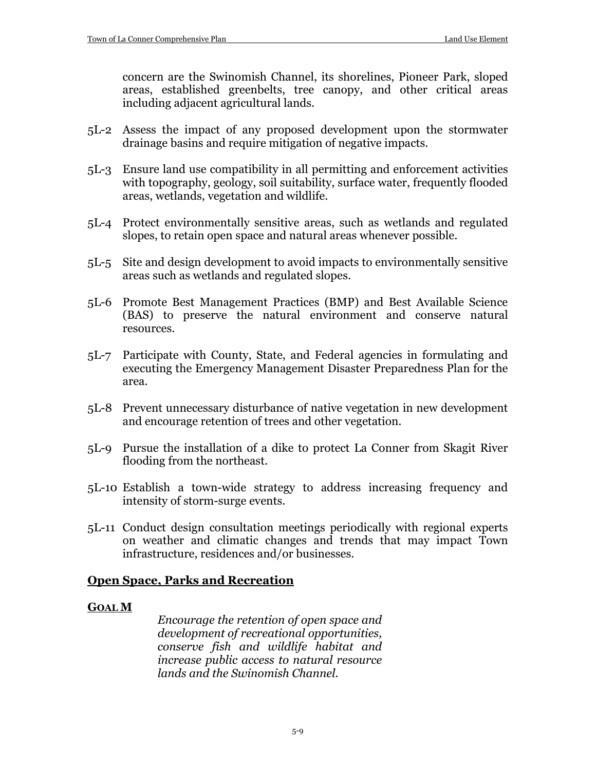concern are the Swinomish Channel, its shorelines, Pioneer Park, sloped areas, established greenbelts, tree canopy, and other critical areas including adjacent agricultural lands.

- 5L-2 Assess the impact of any proposed development upon the stormwater drainage basins and require mitigation of negative impacts.
- 5L-3 Ensure land use compatibility in all permitting and enforcement activities with topography, geology, soil suitability, surface water, frequently flooded areas, wetlands, vegetation and wildlife.
- 5L-4 Protect environmentally sensitive areas, such as wetlands and regulated slopes, to retain open space and natural areas whenever possible.
- 5L-5 Site and design development to avoid impacts to environmentally sensitive areas such as wetlands and regulated slopes.
- 5L-6 Promote Best Management Practices (BMP) and Best Available Science (BAS) to preserve the natural environment and conserve natural resources.
- 5L-7 Participate with County, State, and Federal agencies in formulating and executing the Emergency Management Disaster Preparedness Plan for the area.
- 5L-8 Prevent unnecessary disturbance of native vegetation in new development and encourage retention of trees and other vegetation.
- 5L-9 Pursue the installation of a dike to protect La Conner from Skagit River flooding from the northeast.
- 5L-10 Establish a town-wide strategy to address increasing frequency and intensity of storm-surge events.
- 5L-11 Conduct design consultation meetings periodically with regional experts on weather and climatic changes and trends that may impact Town infrastructure, residences and/or businesses.

#### **Open Space, Parks and Recreation**

#### **GOAL M**

*Encourage the retention of open space and development of recreational opportunities, conserve fish and wildlife habitat and increase public access to natural resource lands and the Swinomish Channel.*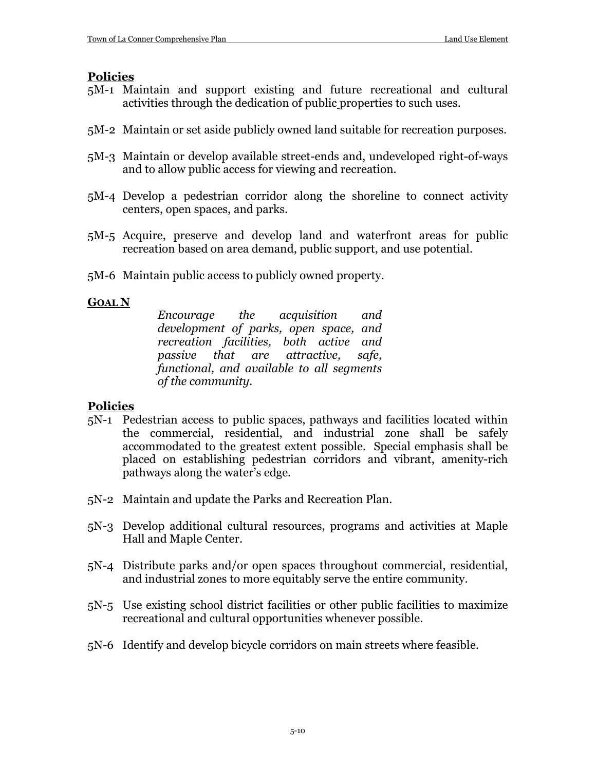#### **Policies**

- 5M-1 Maintain and support existing and future recreational and cultural activities through the dedication of public properties to such uses.
- 5M-2 Maintain or set aside publicly owned land suitable for recreation purposes.
- 5M-3 Maintain or develop available street-ends and, undeveloped right-of-ways and to allow public access for viewing and recreation.
- 5M-4 Develop a pedestrian corridor along the shoreline to connect activity centers, open spaces, and parks.
- 5M-5 Acquire, preserve and develop land and waterfront areas for public recreation based on area demand, public support, and use potential.
- 5M-6 Maintain public access to publicly owned property.

#### **GOAL N**

*Encourage the acquisition and development of parks, open space, and recreation facilities, both active and passive that are attractive, safe, functional, and available to all segments of the community.*

- 5N-1 Pedestrian access to public spaces, pathways and facilities located within the commercial, residential, and industrial zone shall be safely accommodated to the greatest extent possible. Special emphasis shall be placed on establishing pedestrian corridors and vibrant, amenity-rich pathways along the water's edge.
- 5N-2 Maintain and update the Parks and Recreation Plan.
- 5N-3 Develop additional cultural resources, programs and activities at Maple Hall and Maple Center.
- 5N-4 Distribute parks and/or open spaces throughout commercial, residential, and industrial zones to more equitably serve the entire community.
- 5N-5 Use existing school district facilities or other public facilities to maximize recreational and cultural opportunities whenever possible.
- 5N-6 Identify and develop bicycle corridors on main streets where feasible.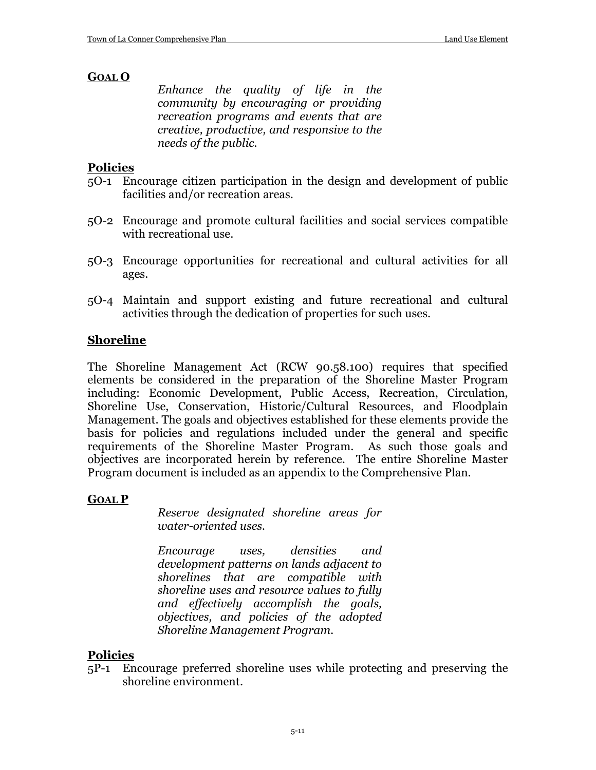#### **GOAL O**

*Enhance the quality of life in the community by encouraging or providing recreation programs and events that are creative, productive, and responsive to the needs of the public.*

#### **Policies**

- 5O-1 Encourage citizen participation in the design and development of public facilities and/or recreation areas.
- 5O-2 Encourage and promote cultural facilities and social services compatible with recreational use.
- 5O-3 Encourage opportunities for recreational and cultural activities for all ages.
- 5O-4 Maintain and support existing and future recreational and cultural activities through the dedication of properties for such uses.

#### **Shoreline**

The Shoreline Management Act (RCW 90.58.100) requires that specified elements be considered in the preparation of the Shoreline Master Program including: Economic Development, Public Access, Recreation, Circulation, Shoreline Use, Conservation, Historic/Cultural Resources, and Floodplain Management. The goals and objectives established for these elements provide the basis for policies and regulations included under the general and specific requirements of the Shoreline Master Program. As such those goals and objectives are incorporated herein by reference. The entire Shoreline Master Program document is included as an appendix to the Comprehensive Plan.

#### **GOAL P**

*Reserve designated shoreline areas for water-oriented uses.*

*Encourage uses, densities and development patterns on lands adjacent to shorelines that are compatible with shoreline uses and resource values to fully and effectively accomplish the goals, objectives, and policies of the adopted Shoreline Management Program.*

#### **Policies**

5P-1 Encourage preferred shoreline uses while protecting and preserving the shoreline environment.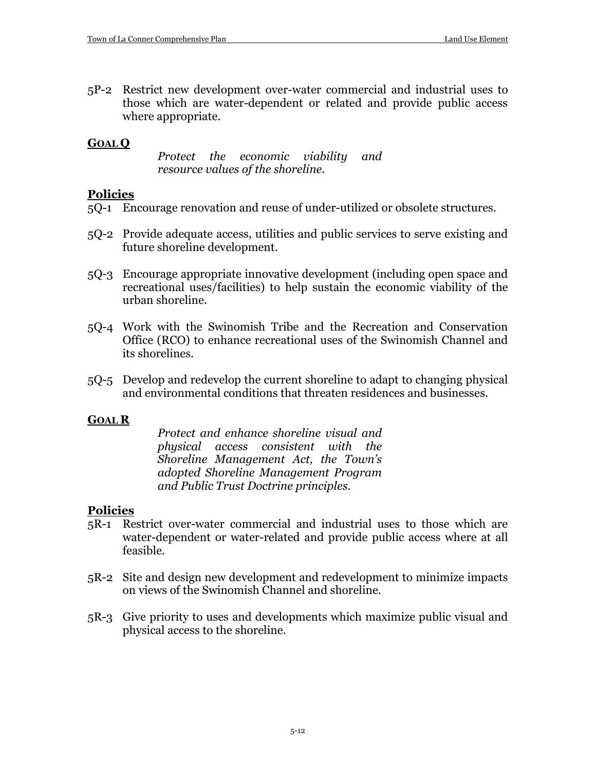5P-2 Restrict new development over-water commercial and industrial uses to those which are water-dependent or related and provide public access where appropriate.

#### **GOAL Q**

*Protect the economic viability and resource values of the shoreline.*

#### **Policies**

- 5Q-1 Encourage renovation and reuse of under-utilized or obsolete structures.
- 5Q-2 Provide adequate access, utilities and public services to serve existing and future shoreline development.
- 5Q-3 Encourage appropriate innovative development (including open space and recreational uses/facilities) to help sustain the economic viability of the urban shoreline.
- 5Q-4 Work with the Swinomish Tribe and the Recreation and Conservation Office (RCO) to enhance recreational uses of the Swinomish Channel and its shorelines.
- 5Q-5 Develop and redevelop the current shoreline to adapt to changing physical and environmental conditions that threaten residences and businesses.

#### **GOAL R**

*Protect and enhance shoreline visual and physical access consistent with the Shoreline Management Act, the Town's adopted Shoreline Management Program and Public Trust Doctrine principles.*

- 5R-1 Restrict over-water commercial and industrial uses to those which are water-dependent or water-related and provide public access where at all feasible.
- 5R-2 Site and design new development and redevelopment to minimize impacts on views of the Swinomish Channel and shoreline.
- 5R-3 Give priority to uses and developments which maximize public visual and physical access to the shoreline.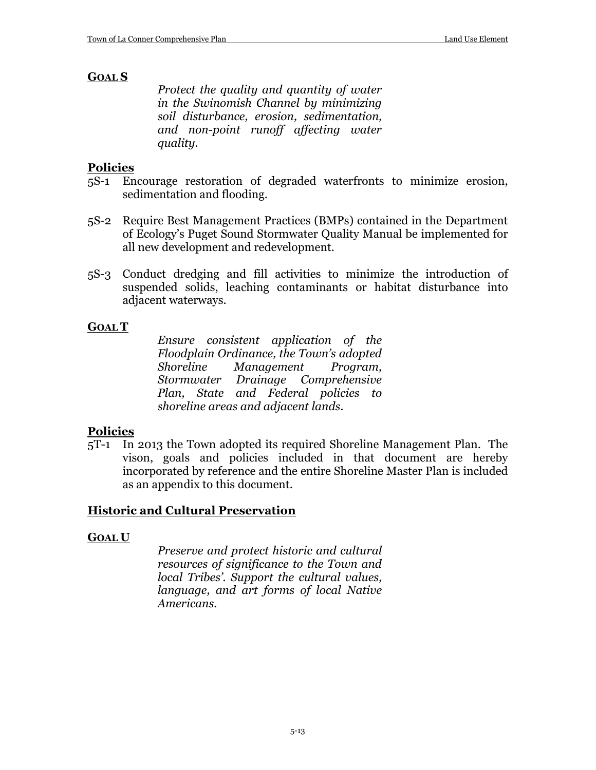#### **GOAL S**

*Protect the quality and quantity of water in the Swinomish Channel by minimizing soil disturbance, erosion, sedimentation, and non-point runoff affecting water quality.*

#### **Policies**

- 5S-1 Encourage restoration of degraded waterfronts to minimize erosion, sedimentation and flooding.
- 5S-2 Require Best Management Practices (BMPs) contained in the Department of Ecology's Puget Sound Stormwater Quality Manual be implemented for all new development and redevelopment.
- 5S-3 Conduct dredging and fill activities to minimize the introduction of suspended solids, leaching contaminants or habitat disturbance into adjacent waterways.

#### **GOAL T**

*Ensure consistent application of the Floodplain Ordinance, the Town's adopted Shoreline Management Program, Stormwater Drainage Comprehensive Plan, State and Federal policies to shoreline areas and adjacent lands.*

#### **Policies**

5T-1 In 2013 the Town adopted its required Shoreline Management Plan. The vison, goals and policies included in that document are hereby incorporated by reference and the entire Shoreline Master Plan is included as an appendix to this document.

#### **Historic and Cultural Preservation**

#### **GOAL U**

*Preserve and protect historic and cultural resources of significance to the Town and local Tribes'. Support the cultural values, language, and art forms of local Native Americans.*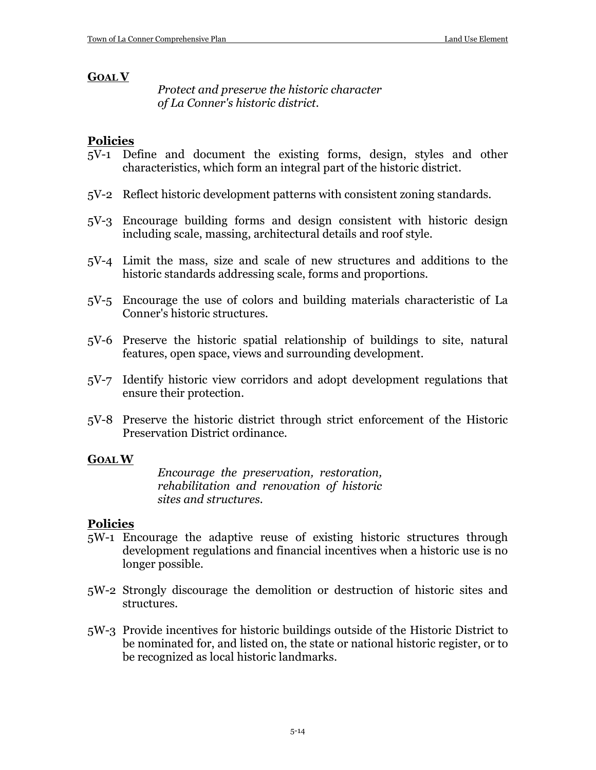#### **GOAL V**

*Protect and preserve the historic character of La Conner's historic district.*

#### **Policies**

- 5V-1 Define and document the existing forms, design, styles and other characteristics, which form an integral part of the historic district.
- 5V-2 Reflect historic development patterns with consistent zoning standards.
- 5V-3 Encourage building forms and design consistent with historic design including scale, massing, architectural details and roof style.
- 5V-4 Limit the mass, size and scale of new structures and additions to the historic standards addressing scale, forms and proportions.
- 5V-5 Encourage the use of colors and building materials characteristic of La Conner's historic structures.
- 5V-6 Preserve the historic spatial relationship of buildings to site, natural features, open space, views and surrounding development.
- 5V-7 Identify historic view corridors and adopt development regulations that ensure their protection.
- 5V-8 Preserve the historic district through strict enforcement of the Historic Preservation District ordinance.

#### **GOAL W**

*Encourage the preservation, restoration, rehabilitation and renovation of historic sites and structures.*

- 5W-1 Encourage the adaptive reuse of existing historic structures through development regulations and financial incentives when a historic use is no longer possible.
- 5W-2 Strongly discourage the demolition or destruction of historic sites and structures.
- 5W-3 Provide incentives for historic buildings outside of the Historic District to be nominated for, and listed on, the state or national historic register, or to be recognized as local historic landmarks.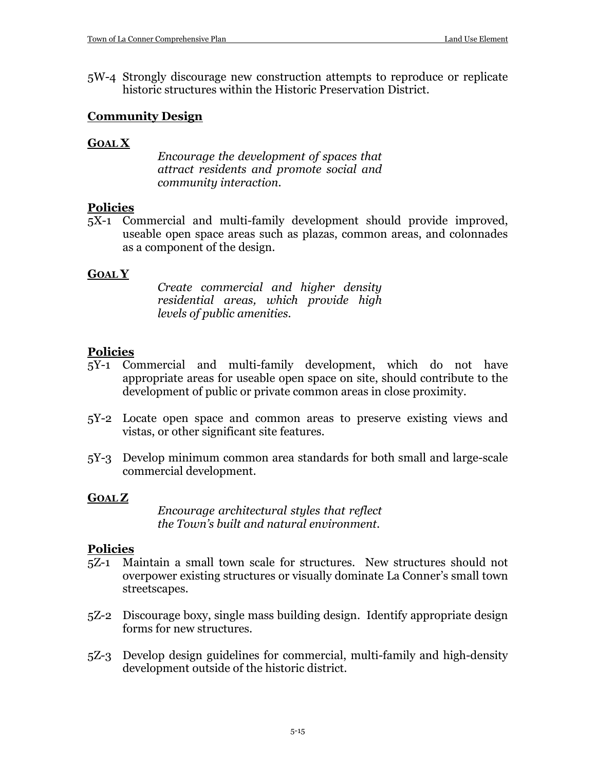5W-4 Strongly discourage new construction attempts to reproduce or replicate historic structures within the Historic Preservation District.

#### **Community Design**

#### **GOAL X**

*Encourage the development of spaces that attract residents and promote social and community interaction.*

#### **Policies**

5X-1 Commercial and multi-family development should provide improved, useable open space areas such as plazas, common areas, and colonnades as a component of the design.

#### **GOAL Y**

*Create commercial and higher density residential areas, which provide high levels of public amenities.*

#### **Policies**

- 5Y-1 Commercial and multi-family development, which do not have appropriate areas for useable open space on site, should contribute to the development of public or private common areas in close proximity.
- 5Y-2 Locate open space and common areas to preserve existing views and vistas, or other significant site features.
- 5Y-3 Develop minimum common area standards for both small and large-scale commercial development.

#### **GOAL Z**

*Encourage architectural styles that reflect the Town's built and natural environment.*

- 5Z-1 Maintain a small town scale for structures. New structures should not overpower existing structures or visually dominate La Conner's small town streetscapes.
- 5Z-2 Discourage boxy, single mass building design. Identify appropriate design forms for new structures.
- 5Z-3 Develop design guidelines for commercial, multi-family and high-density development outside of the historic district.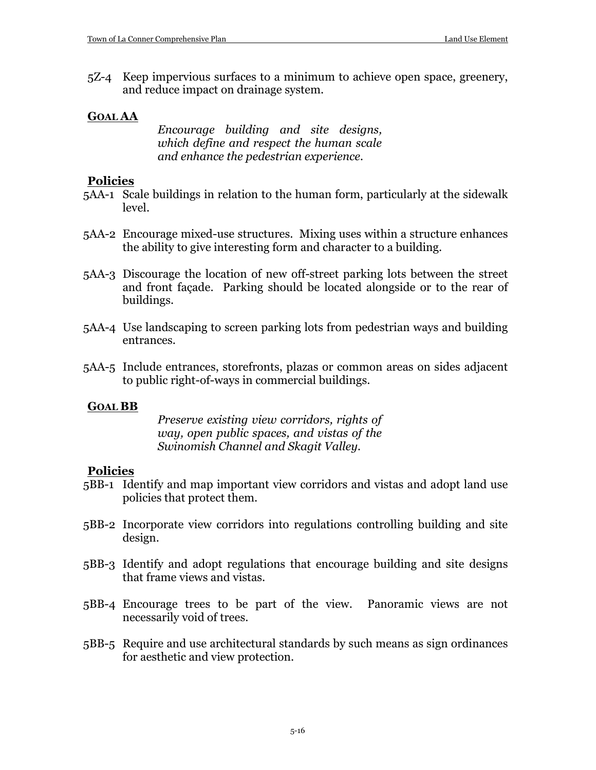5Z-4 Keep impervious surfaces to a minimum to achieve open space, greenery, and reduce impact on drainage system.

#### **GOAL AA**

*Encourage building and site designs, which define and respect the human scale and enhance the pedestrian experience.*

#### **Policies**

- 5AA-1 Scale buildings in relation to the human form, particularly at the sidewalk level.
- 5AA-2 Encourage mixed-use structures. Mixing uses within a structure enhances the ability to give interesting form and character to a building.
- 5AA-3 Discourage the location of new off-street parking lots between the street and front façade. Parking should be located alongside or to the rear of buildings.
- 5AA-4 Use landscaping to screen parking lots from pedestrian ways and building entrances.
- 5AA-5 Include entrances, storefronts, plazas or common areas on sides adjacent to public right-of-ways in commercial buildings.

#### **GOAL BB**

*Preserve existing view corridors, rights of way, open public spaces, and vistas of the Swinomish Channel and Skagit Valley.*

- 5BB-1 Identify and map important view corridors and vistas and adopt land use policies that protect them.
- 5BB-2 Incorporate view corridors into regulations controlling building and site design.
- 5BB-3 Identify and adopt regulations that encourage building and site designs that frame views and vistas.
- 5BB-4 Encourage trees to be part of the view. Panoramic views are not necessarily void of trees.
- 5BB-5 Require and use architectural standards by such means as sign ordinances for aesthetic and view protection.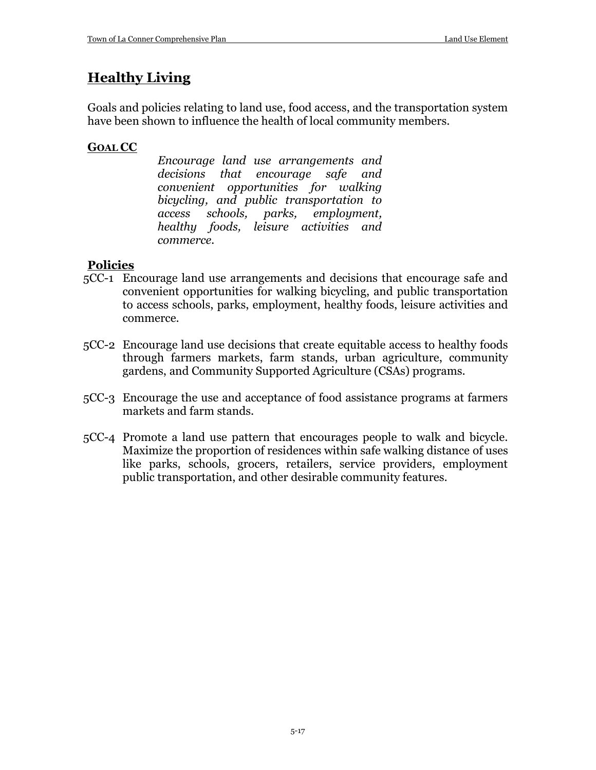## **Healthy Living**

Goals and policies relating to land use, food access, and the transportation system have been shown to influence the health of local community members.

## **GOAL CC**

*Encourage land use arrangements and decisions that encourage safe and convenient opportunities for walking bicycling, and public transportation to access schools, parks, employment, healthy foods, leisure activities and commerce.*

- 5CC-1 Encourage land use arrangements and decisions that encourage safe and convenient opportunities for walking bicycling, and public transportation to access schools, parks, employment, healthy foods, leisure activities and commerce.
- 5CC-2 Encourage land use decisions that create equitable access to healthy foods through farmers markets, farm stands, urban agriculture, community gardens, and Community Supported Agriculture (CSAs) programs.
- 5CC-3 Encourage the use and acceptance of food assistance programs at farmers markets and farm stands.
- 5CC-4 Promote a land use pattern that encourages people to walk and bicycle. Maximize the proportion of residences within safe walking distance of uses like parks, schools, grocers, retailers, service providers, employment public transportation, and other desirable community features.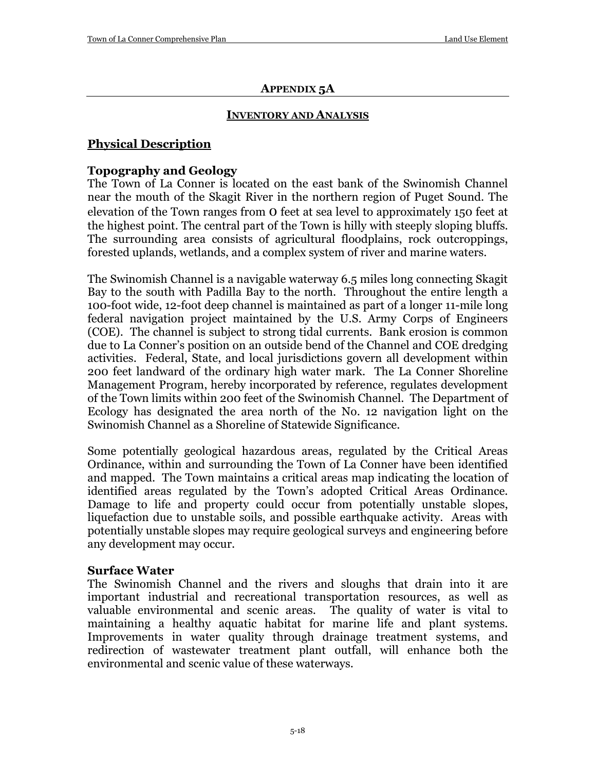#### **APPENDIX 5A**

#### **INVENTORY AND ANALYSIS**

## **Physical Description**

## **Topography and Geology**

The Town of La Conner is located on the east bank of the Swinomish Channel near the mouth of the Skagit River in the northern region of Puget Sound. The elevation of the Town ranges from 0 feet at sea level to approximately 150 feet at the highest point. The central part of the Town is hilly with steeply sloping bluffs. The surrounding area consists of agricultural floodplains, rock outcroppings, forested uplands, wetlands, and a complex system of river and marine waters.

The Swinomish Channel is a navigable waterway 6.5 miles long connecting Skagit Bay to the south with Padilla Bay to the north. Throughout the entire length a 100-foot wide, 12-foot deep channel is maintained as part of a longer 11-mile long federal navigation project maintained by the U.S. Army Corps of Engineers (COE). The channel is subject to strong tidal currents. Bank erosion is common due to La Conner's position on an outside bend of the Channel and COE dredging activities. Federal, State, and local jurisdictions govern all development within 200 feet landward of the ordinary high water mark. The La Conner Shoreline Management Program, hereby incorporated by reference, regulates development of the Town limits within 200 feet of the Swinomish Channel. The Department of Ecology has designated the area north of the No. 12 navigation light on the Swinomish Channel as a Shoreline of Statewide Significance.

Some potentially geological hazardous areas, regulated by the Critical Areas Ordinance, within and surrounding the Town of La Conner have been identified and mapped. The Town maintains a critical areas map indicating the location of identified areas regulated by the Town's adopted Critical Areas Ordinance. Damage to life and property could occur from potentially unstable slopes, liquefaction due to unstable soils, and possible earthquake activity. Areas with potentially unstable slopes may require geological surveys and engineering before any development may occur.

#### **Surface Water**

The Swinomish Channel and the rivers and sloughs that drain into it are important industrial and recreational transportation resources, as well as valuable environmental and scenic areas. The quality of water is vital to maintaining a healthy aquatic habitat for marine life and plant systems. Improvements in water quality through drainage treatment systems, and redirection of wastewater treatment plant outfall, will enhance both the environmental and scenic value of these waterways.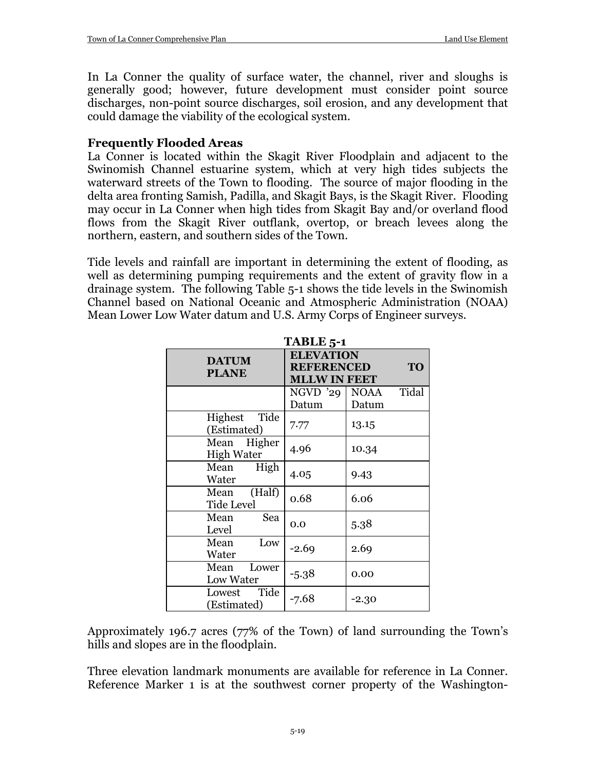In La Conner the quality of surface water, the channel, river and sloughs is generally good; however, future development must consider point source discharges, non-point source discharges, soil erosion, and any development that could damage the viability of the ecological system.

## **Frequently Flooded Areas**

La Conner is located within the Skagit River Floodplain and adjacent to the Swinomish Channel estuarine system, which at very high tides subjects the waterward streets of the Town to flooding. The source of major flooding in the delta area fronting Samish, Padilla, and Skagit Bays, is the Skagit River. Flooding may occur in La Conner when high tides from Skagit Bay and/or overland flood flows from the Skagit River outflank, overtop, or breach levees along the northern, eastern, and southern sides of the Town.

Tide levels and rainfall are important in determining the extent of flooding, as well as determining pumping requirements and the extent of gravity flow in a drainage system. The following Table 5-1 shows the tide levels in the Swinomish Channel based on National Oceanic and Atmospheric Administration (NOAA) Mean Lower Low Water datum and U.S. Army Corps of Engineer surveys.

| TABLE 5-1                           |                     |                      |  |  |  |
|-------------------------------------|---------------------|----------------------|--|--|--|
| <b>DATUM</b>                        | <b>ELEVATION</b>    |                      |  |  |  |
| <b>PLANE</b>                        | <b>REFERENCED</b>   | <b>TO</b>            |  |  |  |
|                                     | <b>MLLW IN FEET</b> |                      |  |  |  |
|                                     | $NGVD$ '29          | Tidal<br><b>NOAA</b> |  |  |  |
|                                     | Datum               | Datum                |  |  |  |
| Highest Tide<br>(Estimated)         | 7.77                | 13.15                |  |  |  |
| Mean Higher<br><b>High Water</b>    | 4.96                | 10.34                |  |  |  |
| High<br>Mean<br>Water               | 4.05                | 9.43                 |  |  |  |
| (Half)<br>Mean<br><b>Tide Level</b> | 0.68                | 6.06                 |  |  |  |
| Sea<br>Mean<br>Level                | 0.0                 | 5.38                 |  |  |  |
| Low<br>Mean<br>Water                | $-2.69$             | 2.69                 |  |  |  |
| Mean<br>Lower<br><b>Low Water</b>   | $-5.38$             | 0.00                 |  |  |  |
| Lowest Tide<br>(Estimated)          | $-7.68$             | -2.30                |  |  |  |

Approximately 196.7 acres (77% of the Town) of land surrounding the Town's hills and slopes are in the floodplain.

Three elevation landmark monuments are available for reference in La Conner. Reference Marker 1 is at the southwest corner property of the Washington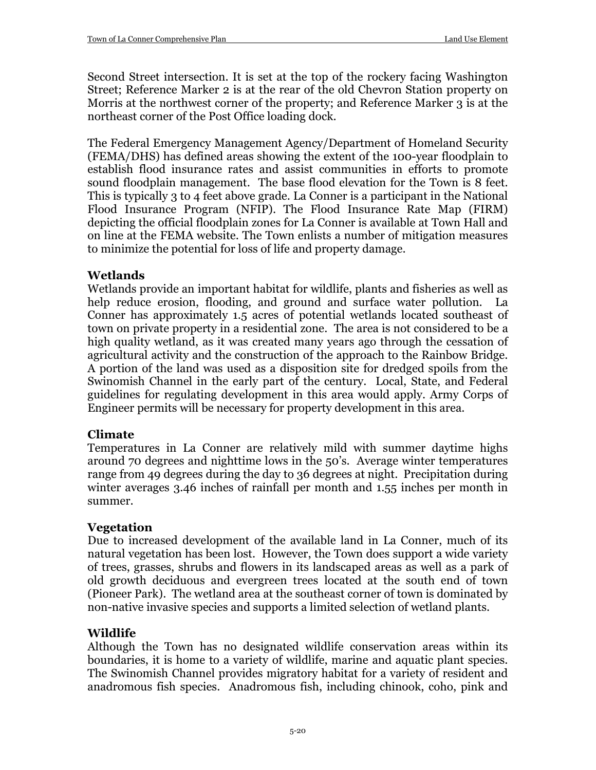Second Street intersection. It is set at the top of the rockery facing Washington Street; Reference Marker 2 is at the rear of the old Chevron Station property on Morris at the northwest corner of the property; and Reference Marker 3 is at the northeast corner of the Post Office loading dock.

The Federal Emergency Management Agency/Department of Homeland Security (FEMA/DHS) has defined areas showing the extent of the 100-year floodplain to establish flood insurance rates and assist communities in efforts to promote sound floodplain management. The base flood elevation for the Town is 8 feet. This is typically 3 to 4 feet above grade. La Conner is a participant in the National Flood Insurance Program (NFIP). The Flood Insurance Rate Map (FIRM) depicting the official floodplain zones for La Conner is available at Town Hall and on line at the FEMA website. The Town enlists a number of mitigation measures to minimize the potential for loss of life and property damage.

## **Wetlands**

Wetlands provide an important habitat for wildlife, plants and fisheries as well as help reduce erosion, flooding, and ground and surface water pollution. La Conner has approximately 1.5 acres of potential wetlands located southeast of town on private property in a residential zone. The area is not considered to be a high quality wetland, as it was created many years ago through the cessation of agricultural activity and the construction of the approach to the Rainbow Bridge. A portion of the land was used as a disposition site for dredged spoils from the Swinomish Channel in the early part of the century. Local, State, and Federal guidelines for regulating development in this area would apply. Army Corps of Engineer permits will be necessary for property development in this area.

## **Climate**

Temperatures in La Conner are relatively mild with summer daytime highs around 70 degrees and nighttime lows in the 50's. Average winter temperatures range from 49 degrees during the day to 36 degrees at night. Precipitation during winter averages 3.46 inches of rainfall per month and 1.55 inches per month in summer.

## **Vegetation**

Due to increased development of the available land in La Conner, much of its natural vegetation has been lost. However, the Town does support a wide variety of trees, grasses, shrubs and flowers in its landscaped areas as well as a park of old growth deciduous and evergreen trees located at the south end of town (Pioneer Park). The wetland area at the southeast corner of town is dominated by non-native invasive species and supports a limited selection of wetland plants.

## **Wildlife**

Although the Town has no designated wildlife conservation areas within its boundaries, it is home to a variety of wildlife, marine and aquatic plant species. The Swinomish Channel provides migratory habitat for a variety of resident and anadromous fish species. Anadromous fish, including chinook, coho, pink and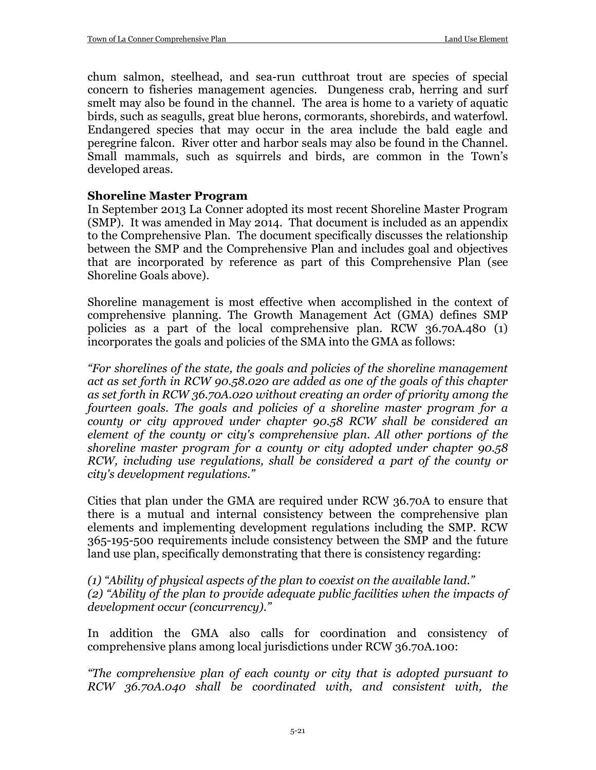chum salmon, steelhead, and sea-run cutthroat trout are species of special concern to fisheries management agencies. Dungeness crab, herring and surf smelt may also be found in the channel. The area is home to a variety of aquatic birds, such as seagulls, great blue herons, cormorants, shorebirds, and waterfowl. Endangered species that may occur in the area include the bald eagle and peregrine falcon. River otter and harbor seals may also be found in the Channel. Small mammals, such as squirrels and birds, are common in the Town's developed areas.

#### **Shoreline Master Program**

In September 2013 La Conner adopted its most recent Shoreline Master Program (SMP). It was amended in May 2014. That document is included as an appendix to the Comprehensive Plan. The document specifically discusses the relationship between the SMP and the Comprehensive Plan and includes goal and objectives that are incorporated by reference as part of this Comprehensive Plan (see Shoreline Goals above).

Shoreline management is most effective when accomplished in the context of comprehensive planning. The Growth Management Act (GMA) defines SMP policies as a part of the local comprehensive plan. RCW 36.70A.480 (1) incorporates the goals and policies of the SMA into the GMA as follows:

*"For shorelines of the state, the goals and policies of the shoreline management act as set forth in RCW 90.58.020 are added as one of the goals of this chapter as set forth in RCW 36.70A.020 without creating an order of priority among the fourteen goals. The goals and policies of a shoreline master program for a county or city approved under chapter 90.58 RCW shall be considered an element of the county or city's comprehensive plan. All other portions of the shoreline master program for a county or city adopted under chapter 90.58 RCW, including use regulations, shall be considered a part of the county or city's development regulations."*

Cities that plan under the GMA are required under RCW 36.70A to ensure that there is a mutual and internal consistency between the comprehensive plan elements and implementing development regulations including the SMP. RCW 365-195-500 requirements include consistency between the SMP and the future land use plan, specifically demonstrating that there is consistency regarding:

*(1) "Ability of physical aspects of the plan to coexist on the available land." (2) "Ability of the plan to provide adequate public facilities when the impacts of development occur (concurrency)."*

In addition the GMA also calls for coordination and consistency of comprehensive plans among local jurisdictions under RCW 36.70A.100:

*"The comprehensive plan of each county or city that is adopted pursuant to RCW 36.70A.040 shall be coordinated with, and consistent with, the*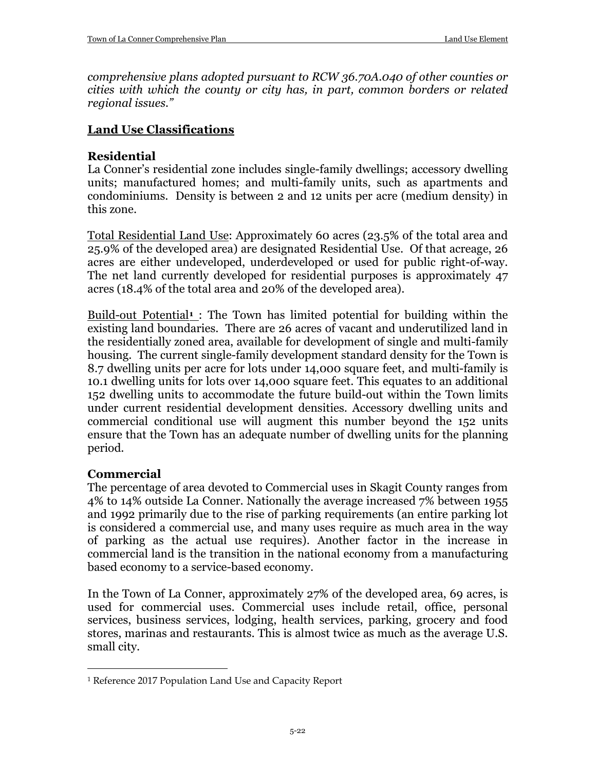*comprehensive plans adopted pursuant to RCW 36.70A.040 of other counties or cities with which the county or city has, in part, common borders or related regional issues."*

#### **Land Use Classifications**

#### **Residential**

La Conner's residential zone includes single-family dwellings; accessory dwelling units; manufactured homes; and multi-family units, such as apartments and condominiums. Density is between 2 and 12 units per acre (medium density) in this zone.

Total Residential Land Use: Approximately 60 acres (23.5% of the total area and 25.9% of the developed area) are designated Residential Use. Of that acreage, 26 acres are either undeveloped, underdeveloped or used for public right-of-way. The net land currently developed for residential purposes is approximately 47 acres (18.4% of the total area and 20% of the developed area).

Build-out Potential**[1](#page-21-0)** : The Town has limited potential for building within the existing land boundaries. There are 26 acres of vacant and underutilized land in the residentially zoned area, available for development of single and multi-family housing. The current single-family development standard density for the Town is 8.7 dwelling units per acre for lots under 14,000 square feet, and multi-family is 10.1 dwelling units for lots over 14,000 square feet. This equates to an additional 152 dwelling units to accommodate the future build-out within the Town limits under current residential development densities. Accessory dwelling units and commercial conditional use will augment this number beyond the 152 units ensure that the Town has an adequate number of dwelling units for the planning period.

## **Commercial**

 $\overline{a}$ 

The percentage of area devoted to Commercial uses in Skagit County ranges from 4% to 14% outside La Conner. Nationally the average increased 7% between 1955 and 1992 primarily due to the rise of parking requirements (an entire parking lot is considered a commercial use, and many uses require as much area in the way of parking as the actual use requires). Another factor in the increase in commercial land is the transition in the national economy from a manufacturing based economy to a service-based economy.

In the Town of La Conner, approximately 27% of the developed area, 69 acres, is used for commercial uses. Commercial uses include retail, office, personal services, business services, lodging, health services, parking, grocery and food stores, marinas and restaurants. This is almost twice as much as the average U.S. small city.

<span id="page-21-0"></span><sup>1</sup> Reference 2017 Population Land Use and Capacity Report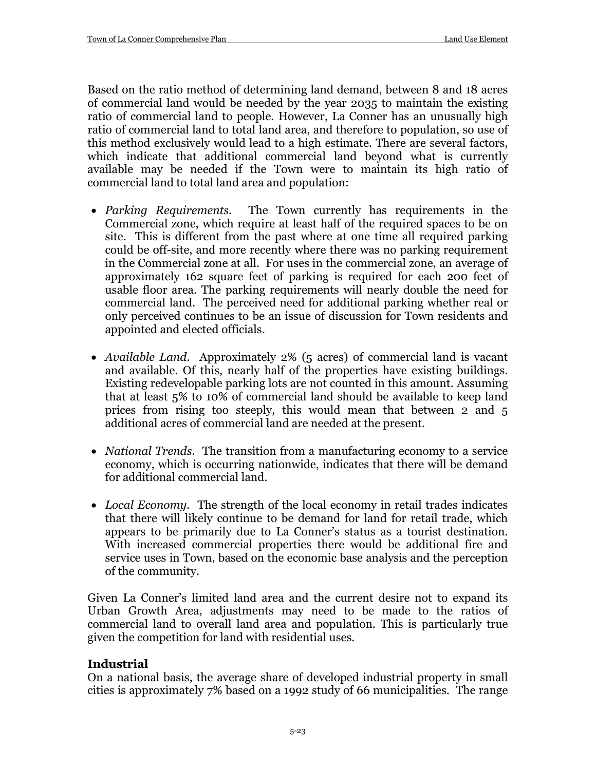Based on the ratio method of determining land demand, between 8 and 18 acres of commercial land would be needed by the year 2035 to maintain the existing ratio of commercial land to people. However, La Conner has an unusually high ratio of commercial land to total land area, and therefore to population, so use of this method exclusively would lead to a high estimate. There are several factors, which indicate that additional commercial land beyond what is currently available may be needed if the Town were to maintain its high ratio of commercial land to total land area and population:

- *Parking Requirements.* The Town currently has requirements in the Commercial zone, which require at least half of the required spaces to be on site. This is different from the past where at one time all required parking could be off-site, and more recently where there was no parking requirement in the Commercial zone at all. For uses in the commercial zone, an average of approximately 162 square feet of parking is required for each 200 feet of usable floor area. The parking requirements will nearly double the need for commercial land. The perceived need for additional parking whether real or only perceived continues to be an issue of discussion for Town residents and appointed and elected officials.
- *Available Land.* Approximately 2% (5 acres) of commercial land is vacant and available. Of this, nearly half of the properties have existing buildings. Existing redevelopable parking lots are not counted in this amount. Assuming that at least 5% to 10% of commercial land should be available to keep land prices from rising too steeply, this would mean that between 2 and 5 additional acres of commercial land are needed at the present.
- *National Trends.* The transition from a manufacturing economy to a service economy, which is occurring nationwide, indicates that there will be demand for additional commercial land.
- *Local Economy.* The strength of the local economy in retail trades indicates that there will likely continue to be demand for land for retail trade, which appears to be primarily due to La Conner's status as a tourist destination. With increased commercial properties there would be additional fire and service uses in Town, based on the economic base analysis and the perception of the community.

Given La Conner's limited land area and the current desire not to expand its Urban Growth Area, adjustments may need to be made to the ratios of commercial land to overall land area and population. This is particularly true given the competition for land with residential uses.

## **Industrial**

On a national basis, the average share of developed industrial property in small cities is approximately 7% based on a 1992 study of 66 municipalities. The range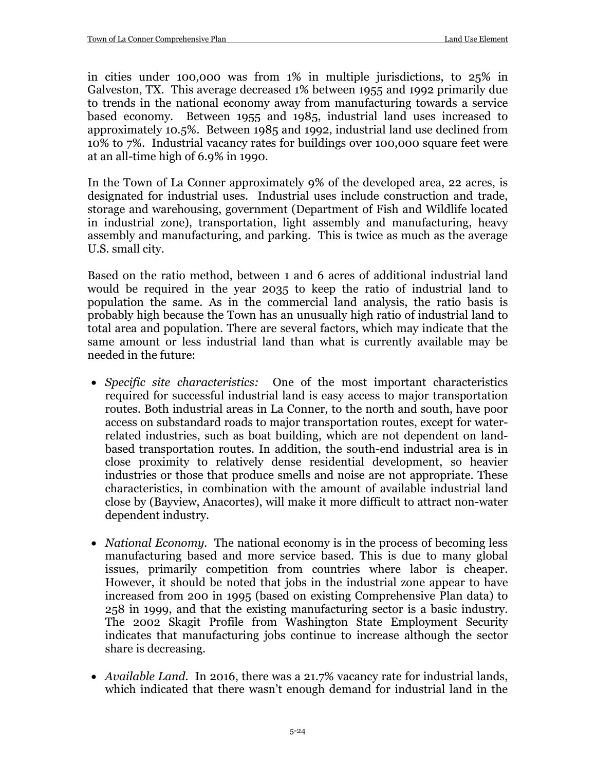in cities under 100,000 was from 1% in multiple jurisdictions, to 25% in Galveston, TX. This average decreased 1% between 1955 and 1992 primarily due to trends in the national economy away from manufacturing towards a service based economy. Between 1955 and 1985, industrial land uses increased to approximately 10.5%. Between 1985 and 1992, industrial land use declined from 10% to 7%. Industrial vacancy rates for buildings over 100,000 square feet were at an all-time high of 6.9% in 1990.

In the Town of La Conner approximately 9% of the developed area, 22 acres, is designated for industrial uses. Industrial uses include construction and trade, storage and warehousing, government (Department of Fish and Wildlife located in industrial zone), transportation, light assembly and manufacturing, heavy assembly and manufacturing, and parking. This is twice as much as the average U.S. small city.

Based on the ratio method, between 1 and 6 acres of additional industrial land would be required in the year 2035 to keep the ratio of industrial land to population the same. As in the commercial land analysis, the ratio basis is probably high because the Town has an unusually high ratio of industrial land to total area and population. There are several factors, which may indicate that the same amount or less industrial land than what is currently available may be needed in the future:

- *Specific site characteristics:* One of the most important characteristics required for successful industrial land is easy access to major transportation routes. Both industrial areas in La Conner, to the north and south, have poor access on substandard roads to major transportation routes, except for waterrelated industries, such as boat building, which are not dependent on landbased transportation routes. In addition, the south-end industrial area is in close proximity to relatively dense residential development, so heavier industries or those that produce smells and noise are not appropriate. These characteristics, in combination with the amount of available industrial land close by (Bayview, Anacortes), will make it more difficult to attract non-water dependent industry.
- *National Economy*. The national economy is in the process of becoming less manufacturing based and more service based. This is due to many global issues, primarily competition from countries where labor is cheaper. However, it should be noted that jobs in the industrial zone appear to have increased from 200 in 1995 (based on existing Comprehensive Plan data) to 258 in 1999, and that the existing manufacturing sector is a basic industry. The 2002 Skagit Profile from Washington State Employment Security indicates that manufacturing jobs continue to increase although the sector share is decreasing.
- *Available Land.* In 2016, there was a 21.7% vacancy rate for industrial lands, which indicated that there wasn't enough demand for industrial land in the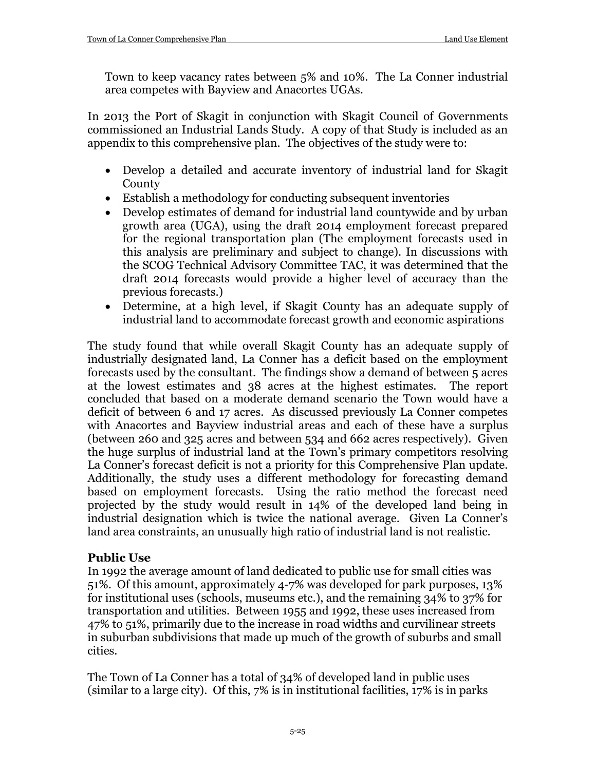Town to keep vacancy rates between 5% and 10%. The La Conner industrial area competes with Bayview and Anacortes UGAs.

In 2013 the Port of Skagit in conjunction with Skagit Council of Governments commissioned an Industrial Lands Study. A copy of that Study is included as an appendix to this comprehensive plan. The objectives of the study were to:

- Develop a detailed and accurate inventory of industrial land for Skagit **County**
- Establish a methodology for conducting subsequent inventories
- Develop estimates of demand for industrial land countywide and by urban growth area (UGA), using the draft 2014 employment forecast prepared for the regional transportation plan (The employment forecasts used in this analysis are preliminary and subject to change). In discussions with the SCOG Technical Advisory Committee TAC, it was determined that the draft 2014 forecasts would provide a higher level of accuracy than the previous forecasts.)
- Determine, at a high level, if Skagit County has an adequate supply of industrial land to accommodate forecast growth and economic aspirations

The study found that while overall Skagit County has an adequate supply of industrially designated land, La Conner has a deficit based on the employment forecasts used by the consultant. The findings show a demand of between 5 acres at the lowest estimates and 38 acres at the highest estimates. The report concluded that based on a moderate demand scenario the Town would have a deficit of between 6 and 17 acres. As discussed previously La Conner competes with Anacortes and Bayview industrial areas and each of these have a surplus (between 260 and 325 acres and between 534 and 662 acres respectively). Given the huge surplus of industrial land at the Town's primary competitors resolving La Conner's forecast deficit is not a priority for this Comprehensive Plan update. Additionally, the study uses a different methodology for forecasting demand based on employment forecasts. Using the ratio method the forecast need projected by the study would result in 14% of the developed land being in industrial designation which is twice the national average. Given La Conner's land area constraints, an unusually high ratio of industrial land is not realistic.

## **Public Use**

In 1992 the average amount of land dedicated to public use for small cities was 51%. Of this amount, approximately 4-7% was developed for park purposes, 13% for institutional uses (schools, museums etc.), and the remaining 34% to 37% for transportation and utilities. Between 1955 and 1992, these uses increased from 47% to 51%, primarily due to the increase in road widths and curvilinear streets in suburban subdivisions that made up much of the growth of suburbs and small cities.

The Town of La Conner has a total of 34% of developed land in public uses (similar to a large city). Of this, 7% is in institutional facilities, 17% is in parks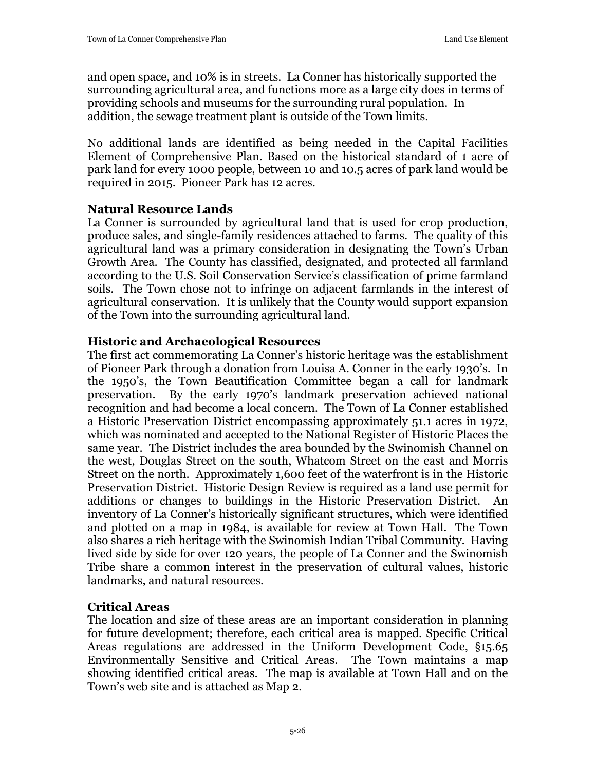and open space, and 10% is in streets. La Conner has historically supported the surrounding agricultural area, and functions more as a large city does in terms of providing schools and museums for the surrounding rural population. In addition, the sewage treatment plant is outside of the Town limits.

No additional lands are identified as being needed in the Capital Facilities Element of Comprehensive Plan. Based on the historical standard of 1 acre of park land for every 1000 people, between 10 and 10.5 acres of park land would be required in 2015. Pioneer Park has 12 acres.

#### **Natural Resource Lands**

La Conner is surrounded by agricultural land that is used for crop production, produce sales, and single-family residences attached to farms. The quality of this agricultural land was a primary consideration in designating the Town's Urban Growth Area. The County has classified, designated, and protected all farmland according to the U.S. Soil Conservation Service's classification of prime farmland soils. The Town chose not to infringe on adjacent farmlands in the interest of agricultural conservation. It is unlikely that the County would support expansion of the Town into the surrounding agricultural land.

#### **Historic and Archaeological Resources**

The first act commemorating La Conner's historic heritage was the establishment of Pioneer Park through a donation from Louisa A. Conner in the early 1930's. In the 1950's, the Town Beautification Committee began a call for landmark preservation. By the early 1970's landmark preservation achieved national recognition and had become a local concern. The Town of La Conner established a Historic Preservation District encompassing approximately 51.1 acres in 1972, which was nominated and accepted to the National Register of Historic Places the same year. The District includes the area bounded by the Swinomish Channel on the west, Douglas Street on the south, Whatcom Street on the east and Morris Street on the north. Approximately 1,600 feet of the waterfront is in the Historic Preservation District. Historic Design Review is required as a land use permit for additions or changes to buildings in the Historic Preservation District. An inventory of La Conner's historically significant structures, which were identified and plotted on a map in 1984, is available for review at Town Hall. The Town also shares a rich heritage with the Swinomish Indian Tribal Community. Having lived side by side for over 120 years, the people of La Conner and the Swinomish Tribe share a common interest in the preservation of cultural values, historic landmarks, and natural resources.

#### **Critical Areas**

The location and size of these areas are an important consideration in planning for future development; therefore, each critical area is mapped. Specific Critical Areas regulations are addressed in the Uniform Development Code, §15.65 Environmentally Sensitive and Critical Areas. The Town maintains a map showing identified critical areas. The map is available at Town Hall and on the Town's web site and is attached as Map 2.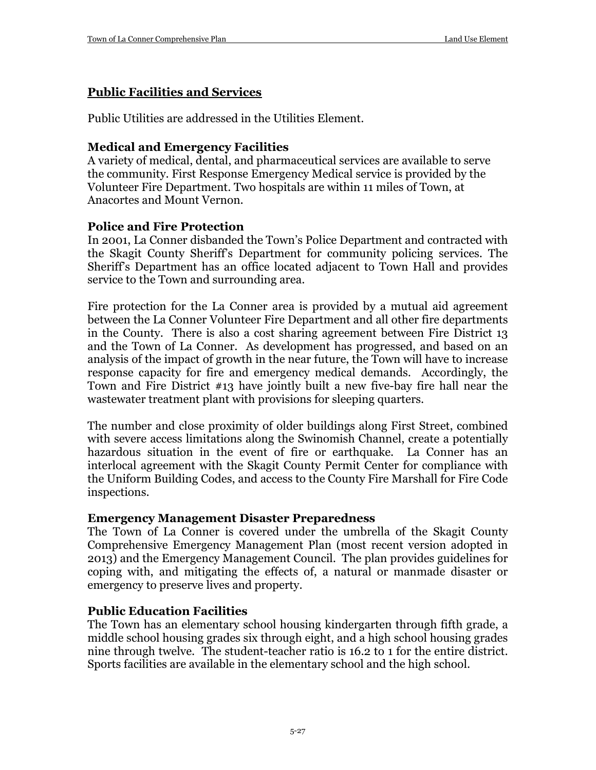## **Public Facilities and Services**

Public Utilities are addressed in the Utilities Element.

## **Medical and Emergency Facilities**

A variety of medical, dental, and pharmaceutical services are available to serve the community. First Response Emergency Medical service is provided by the Volunteer Fire Department. Two hospitals are within 11 miles of Town, at Anacortes and Mount Vernon.

## **Police and Fire Protection**

In 2001, La Conner disbanded the Town's Police Department and contracted with the Skagit County Sheriff's Department for community policing services. The Sheriff's Department has an office located adjacent to Town Hall and provides service to the Town and surrounding area.

Fire protection for the La Conner area is provided by a mutual aid agreement between the La Conner Volunteer Fire Department and all other fire departments in the County. There is also a cost sharing agreement between Fire District 13 and the Town of La Conner. As development has progressed, and based on an analysis of the impact of growth in the near future, the Town will have to increase response capacity for fire and emergency medical demands. Accordingly, the Town and Fire District #13 have jointly built a new five-bay fire hall near the wastewater treatment plant with provisions for sleeping quarters.

The number and close proximity of older buildings along First Street, combined with severe access limitations along the Swinomish Channel, create a potentially hazardous situation in the event of fire or earthquake. La Conner has an interlocal agreement with the Skagit County Permit Center for compliance with the Uniform Building Codes, and access to the County Fire Marshall for Fire Code inspections.

#### **Emergency Management Disaster Preparedness**

The Town of La Conner is covered under the umbrella of the Skagit County Comprehensive Emergency Management Plan (most recent version adopted in 2013) and the Emergency Management Council. The plan provides guidelines for coping with, and mitigating the effects of, a natural or manmade disaster or emergency to preserve lives and property.

## **Public Education Facilities**

The Town has an elementary school housing kindergarten through fifth grade, a middle school housing grades six through eight, and a high school housing grades nine through twelve. The student-teacher ratio is 16.2 to 1 for the entire district. Sports facilities are available in the elementary school and the high school.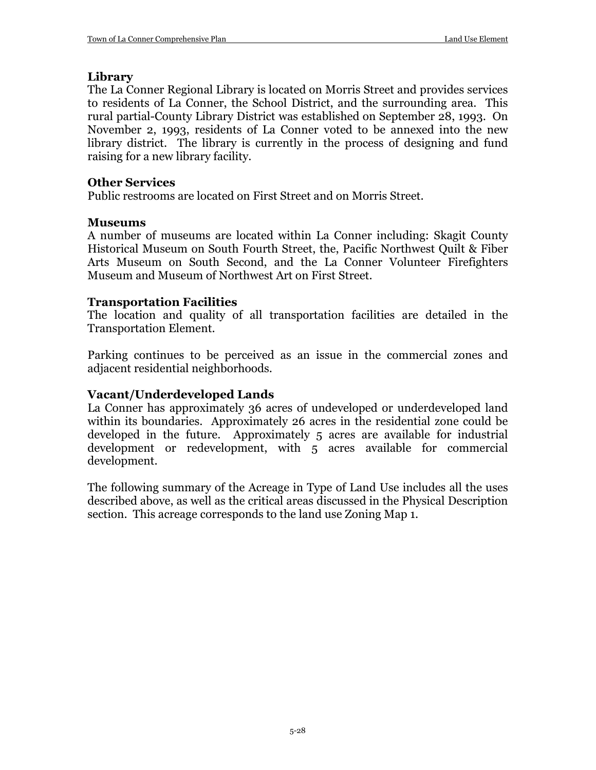#### **Library**

The La Conner Regional Library is located on Morris Street and provides services to residents of La Conner, the School District, and the surrounding area. This rural partial-County Library District was established on September 28, 1993. On November 2, 1993, residents of La Conner voted to be annexed into the new library district. The library is currently in the process of designing and fund raising for a new library facility.

#### **Other Services**

Public restrooms are located on First Street and on Morris Street.

## **Museums**

A number of museums are located within La Conner including: Skagit County Historical Museum on South Fourth Street, the, Pacific Northwest Quilt & Fiber Arts Museum on South Second, and the La Conner Volunteer Firefighters Museum and Museum of Northwest Art on First Street.

## **Transportation Facilities**

The location and quality of all transportation facilities are detailed in the Transportation Element.

Parking continues to be perceived as an issue in the commercial zones and adjacent residential neighborhoods.

## **Vacant/Underdeveloped Lands**

La Conner has approximately 36 acres of undeveloped or underdeveloped land within its boundaries. Approximately 26 acres in the residential zone could be developed in the future. Approximately 5 acres are available for industrial development or redevelopment, with 5 acres available for commercial development.

The following summary of the Acreage in Type of Land Use includes all the uses described above, as well as the critical areas discussed in the Physical Description section. This acreage corresponds to the land use Zoning Map 1.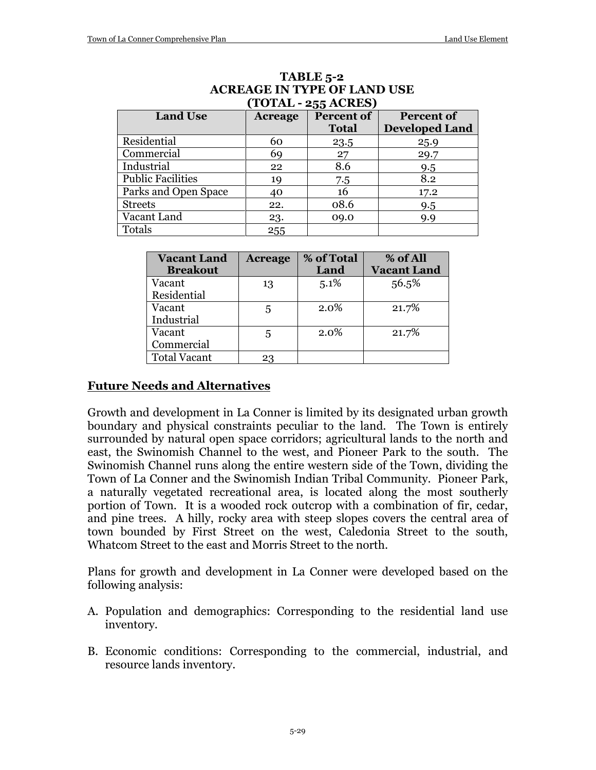| $101 \text{AU}$ = 433 AVALOJ |         |              |                       |  |  |  |  |
|------------------------------|---------|--------------|-----------------------|--|--|--|--|
| <b>Land Use</b>              | Acreage | Percent of   | <b>Percent of</b>     |  |  |  |  |
|                              |         | <b>Total</b> | <b>Developed Land</b> |  |  |  |  |
| Residential                  | 60      | 23.5         | 25.9                  |  |  |  |  |
| Commercial                   | 69      | 27           | 29.7                  |  |  |  |  |
| Industrial                   | 22      | 8.6          | 9.5                   |  |  |  |  |
| <b>Public Facilities</b>     | 19      | 7.5          | 8.2                   |  |  |  |  |
| Parks and Open Space         | 40      | 16           | 17.2                  |  |  |  |  |
| <b>Streets</b>               | 22.     | 08.6         | 9.5                   |  |  |  |  |
| Vacant Land                  | 23.     | 09.0         | 9.9                   |  |  |  |  |
| Totals                       | 255     |              |                       |  |  |  |  |

#### **TABLE 5-2 ACREAGE IN TYPE OF LAND USE (TOTAL - 255 ACRES)**

| <b>Vacant Land</b>  | <b>Acreage</b> | % of Total | % of All           |
|---------------------|----------------|------------|--------------------|
| <b>Breakout</b>     |                | Land       | <b>Vacant Land</b> |
| Vacant              | 13             | 5.1%       | 56.5%              |
| Residential         |                |            |                    |
| Vacant              | 5              | 2.0%       | 21.7%              |
| Industrial          |                |            |                    |
| Vacant              | 5              | $2.0\%$    | 21.7%              |
| Commercial          |                |            |                    |
| <b>Total Vacant</b> | 23             |            |                    |

#### **Future Needs and Alternatives**

Growth and development in La Conner is limited by its designated urban growth boundary and physical constraints peculiar to the land. The Town is entirely surrounded by natural open space corridors; agricultural lands to the north and east, the Swinomish Channel to the west, and Pioneer Park to the south. The Swinomish Channel runs along the entire western side of the Town, dividing the Town of La Conner and the Swinomish Indian Tribal Community. Pioneer Park, a naturally vegetated recreational area, is located along the most southerly portion of Town. It is a wooded rock outcrop with a combination of fir, cedar, and pine trees. A hilly, rocky area with steep slopes covers the central area of town bounded by First Street on the west, Caledonia Street to the south, Whatcom Street to the east and Morris Street to the north.

Plans for growth and development in La Conner were developed based on the following analysis:

- A. Population and demographics: Corresponding to the residential land use inventory.
- B. Economic conditions: Corresponding to the commercial, industrial, and resource lands inventory.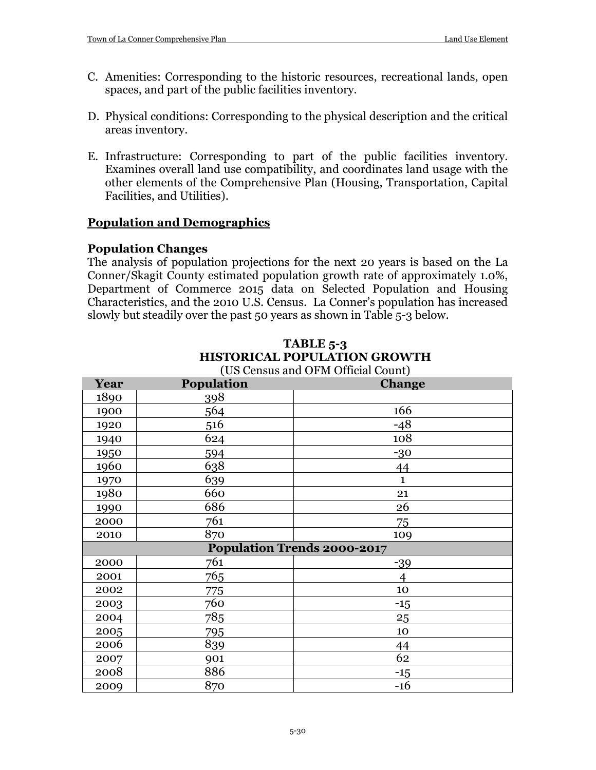- C. Amenities: Corresponding to the historic resources, recreational lands, open spaces, and part of the public facilities inventory.
- D. Physical conditions: Corresponding to the physical description and the critical areas inventory.
- E. Infrastructure: Corresponding to part of the public facilities inventory. Examines overall land use compatibility, and coordinates land usage with the other elements of the Comprehensive Plan (Housing, Transportation, Capital Facilities, and Utilities).

## **Population and Demographics**

#### **Population Changes**

The analysis of population projections for the next 20 years is based on the La Conner/Skagit County estimated population growth rate of approximately 1.0%, Department of Commerce 2015 data on Selected Population and Housing Characteristics, and the 2010 U.S. Census. La Conner's population has increased slowly but steadily over the past 50 years as shown in Table 5-3 below.

| Year | Population | (Ob echisus and Or M Official Count)<br><b>Change</b> |
|------|------------|-------------------------------------------------------|
| 1890 | 398        |                                                       |
| 1900 | 564        | 166                                                   |
| 1920 | 516        | $-48$                                                 |
| 1940 | 624        | 108                                                   |
| 1950 | 594        | $-30$                                                 |
| 1960 | 638        | 44                                                    |
| 1970 | 639        | $\mathbf{1}$                                          |
| 1980 | 660        | 21                                                    |
| 1990 | 686        | 26                                                    |
| 2000 | 761        | 75                                                    |
| 2010 | 870        | 109                                                   |
|      |            | <b>Population Trends 2000-2017</b>                    |
| 2000 | 761        | $-39$                                                 |
| 2001 | 765        | 4                                                     |
| 2002 | 775        | 10                                                    |
| 2003 | 760        | $-15$                                                 |
| 2004 | 785        | 25                                                    |
| 2005 | 795        | 10                                                    |
| 2006 | 839        | 44                                                    |
| 2007 | 901        | 62                                                    |
| 2008 | 886        | $-15$                                                 |
| 2009 | 870        | $-16$                                                 |

#### **TABLE 5-3 HISTORICAL POPULATION GROWTH** (US Census and OFM Official Count)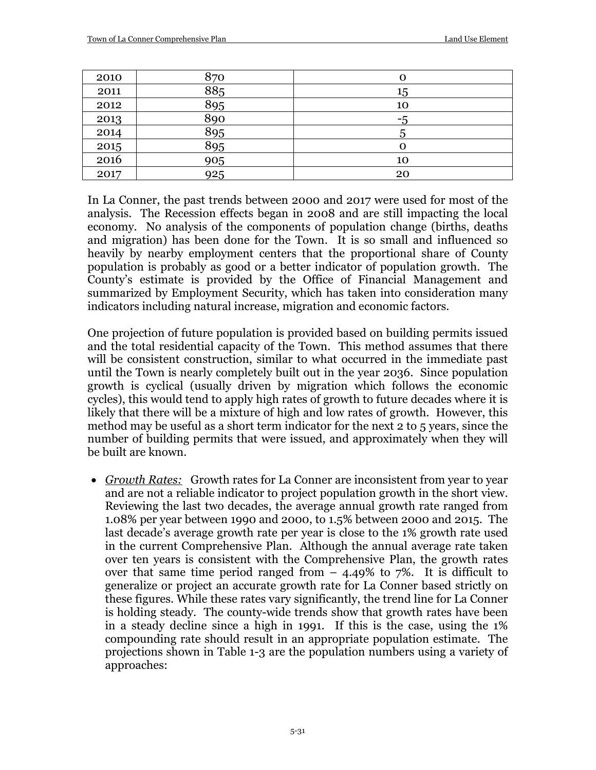| 2010 | 870 |    |
|------|-----|----|
| 2011 | 885 | 15 |
| 2012 | 895 | 10 |
| 2013 | 890 | -5 |
| 2014 | 895 | C  |
| 2015 | 895 |    |
| 2016 | 905 | 10 |
| 2017 | 925 | 20 |

In La Conner, the past trends between 2000 and 2017 were used for most of the analysis. The Recession effects began in 2008 and are still impacting the local economy. No analysis of the components of population change (births, deaths and migration) has been done for the Town. It is so small and influenced so heavily by nearby employment centers that the proportional share of County population is probably as good or a better indicator of population growth. The County's estimate is provided by the Office of Financial Management and summarized by Employment Security, which has taken into consideration many indicators including natural increase, migration and economic factors.

One projection of future population is provided based on building permits issued and the total residential capacity of the Town. This method assumes that there will be consistent construction, similar to what occurred in the immediate past until the Town is nearly completely built out in the year 2036. Since population growth is cyclical (usually driven by migration which follows the economic cycles), this would tend to apply high rates of growth to future decades where it is likely that there will be a mixture of high and low rates of growth. However, this method may be useful as a short term indicator for the next 2 to 5 years, since the number of building permits that were issued, and approximately when they will be built are known.

• *Growth Rates:* Growth rates for La Conner are inconsistent from year to year and are not a reliable indicator to project population growth in the short view. Reviewing the last two decades, the average annual growth rate ranged from 1.08% per year between 1990 and 2000, to 1.5% between 2000 and 2015. The last decade's average growth rate per year is close to the 1% growth rate used in the current Comprehensive Plan. Although the annual average rate taken over ten years is consistent with the Comprehensive Plan, the growth rates over that same time period ranged from  $-$  4.49% to 7%. It is difficult to generalize or project an accurate growth rate for La Conner based strictly on these figures. While these rates vary significantly, the trend line for La Conner is holding steady. The county-wide trends show that growth rates have been in a steady decline since a high in 1991. If this is the case, using the 1% compounding rate should result in an appropriate population estimate. The projections shown in Table 1-3 are the population numbers using a variety of approaches: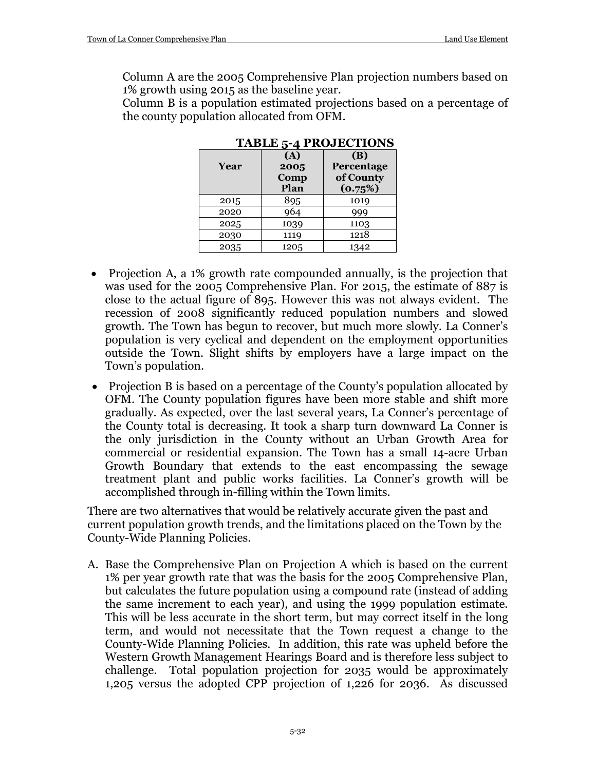Column A are the 2005 Comprehensive Plan projection numbers based on 1% growth using 2015 as the baseline year.

Column B is a population estimated projections based on a percentage of the county population allocated from OFM.

| Year | (A)<br>2005<br>Comp<br>Plan | (B)<br><b>Percentage</b><br>of County<br>(0.75%) |
|------|-----------------------------|--------------------------------------------------|
| 2015 | 895                         | 1019                                             |
| 2020 | 964                         | 999                                              |
| 2025 | 1039                        | 1103                                             |
| 2030 | 1119                        | 1218                                             |
| 2035 | 1205                        | 1342                                             |

**TABLE 5-4 PROJECTIONS**

- Projection A, a 1% growth rate compounded annually, is the projection that was used for the 2005 Comprehensive Plan. For 2015, the estimate of 887 is close to the actual figure of 895. However this was not always evident. The recession of 2008 significantly reduced population numbers and slowed growth. The Town has begun to recover, but much more slowly. La Conner's population is very cyclical and dependent on the employment opportunities outside the Town. Slight shifts by employers have a large impact on the Town's population.
- Projection B is based on a percentage of the County's population allocated by OFM. The County population figures have been more stable and shift more gradually. As expected, over the last several years, La Conner's percentage of the County total is decreasing. It took a sharp turn downward La Conner is the only jurisdiction in the County without an Urban Growth Area for commercial or residential expansion. The Town has a small 14-acre Urban Growth Boundary that extends to the east encompassing the sewage treatment plant and public works facilities. La Conner's growth will be accomplished through in-filling within the Town limits.

There are two alternatives that would be relatively accurate given the past and current population growth trends, and the limitations placed on the Town by the County-Wide Planning Policies.

A. Base the Comprehensive Plan on Projection A which is based on the current 1% per year growth rate that was the basis for the 2005 Comprehensive Plan, but calculates the future population using a compound rate (instead of adding the same increment to each year), and using the 1999 population estimate. This will be less accurate in the short term, but may correct itself in the long term, and would not necessitate that the Town request a change to the County-Wide Planning Policies. In addition, this rate was upheld before the Western Growth Management Hearings Board and is therefore less subject to challenge. Total population projection for 2035 would be approximately 1,205 versus the adopted CPP projection of 1,226 for 2036. As discussed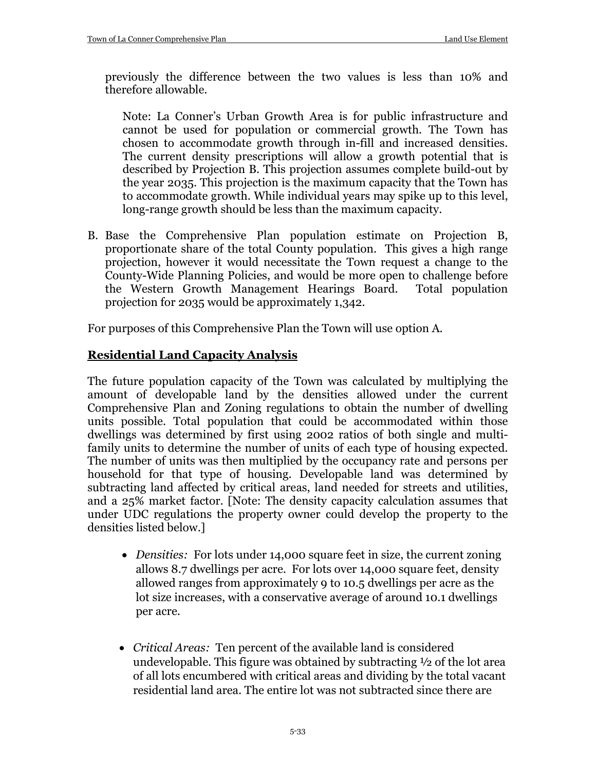previously the difference between the two values is less than 10% and therefore allowable.

Note: La Conner's Urban Growth Area is for public infrastructure and cannot be used for population or commercial growth. The Town has chosen to accommodate growth through in-fill and increased densities. The current density prescriptions will allow a growth potential that is described by Projection B. This projection assumes complete build-out by the year 2035. This projection is the maximum capacity that the Town has to accommodate growth. While individual years may spike up to this level, long-range growth should be less than the maximum capacity.

B. Base the Comprehensive Plan population estimate on Projection B, proportionate share of the total County population. This gives a high range projection, however it would necessitate the Town request a change to the County-Wide Planning Policies, and would be more open to challenge before the Western Growth Management Hearings Board. projection for 2035 would be approximately 1,342.

For purposes of this Comprehensive Plan the Town will use option A.

## **Residential Land Capacity Analysis**

The future population capacity of the Town was calculated by multiplying the amount of developable land by the densities allowed under the current Comprehensive Plan and Zoning regulations to obtain the number of dwelling units possible. Total population that could be accommodated within those dwellings was determined by first using 2002 ratios of both single and multifamily units to determine the number of units of each type of housing expected. The number of units was then multiplied by the occupancy rate and persons per household for that type of housing. Developable land was determined by subtracting land affected by critical areas, land needed for streets and utilities, and a 25% market factor. [Note: The density capacity calculation assumes that under UDC regulations the property owner could develop the property to the densities listed below.]

- *Densities:* For lots under 14,000 square feet in size, the current zoning allows 8.7 dwellings per acre. For lots over 14,000 square feet, density allowed ranges from approximately 9 to 10.5 dwellings per acre as the lot size increases, with a conservative average of around 10.1 dwellings per acre.
- *Critical Areas:* Ten percent of the available land is considered undevelopable. This figure was obtained by subtracting ½ of the lot area of all lots encumbered with critical areas and dividing by the total vacant residential land area. The entire lot was not subtracted since there are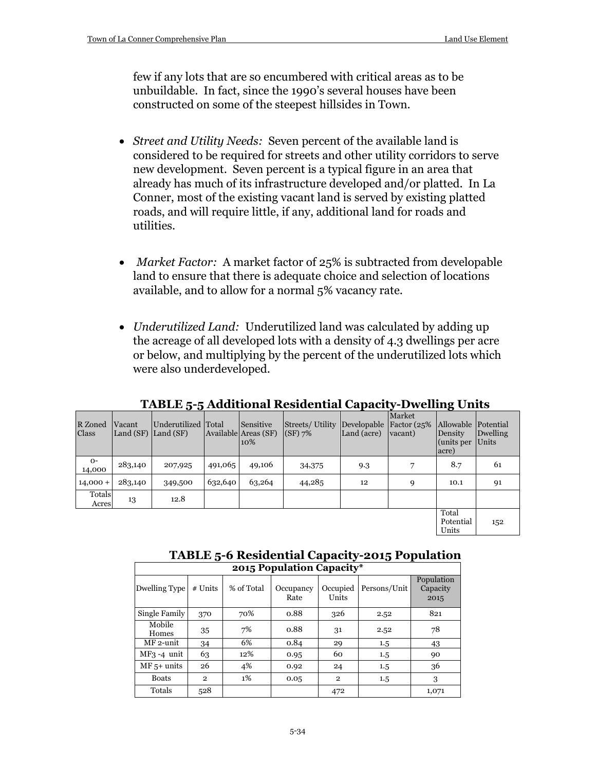few if any lots that are so encumbered with critical areas as to be unbuildable. In fact, since the 1990's several houses have been constructed on some of the steepest hillsides in Town.

- *Street and Utility Needs:* Seven percent of the available land is considered to be required for streets and other utility corridors to serve new development. Seven percent is a typical figure in an area that already has much of its infrastructure developed and/or platted. In La Conner, most of the existing vacant land is served by existing platted roads, and will require little, if any, additional land for roads and utilities.
- *Market Factor:* A market factor of 25% is subtracted from developable land to ensure that there is adequate choice and selection of locations available, and to allow for a normal 5% vacancy rate.
- *Underutilized Land:* Underutilized land was calculated by adding up the acreage of all developed lots with a density of 4.3 dwellings per acre or below, and multiplying by the percent of the underutilized lots which were also underdeveloped.

|                  |         | ------                                         |         |                                          |                              |                                         |                   | ------ - -----                                        |                   |
|------------------|---------|------------------------------------------------|---------|------------------------------------------|------------------------------|-----------------------------------------|-------------------|-------------------------------------------------------|-------------------|
| R Zoned<br>Class | Vacant  | Underutilized Total<br>Land $(SF)$ Land $(SF)$ |         | Sensitive<br>Available Areas (SF)<br>10% | Streets/Utility<br>$(SF)$ 7% | Developable Factor (25%)<br>Land (acre) | Market<br>vacant) | Allowable Potential<br>Density<br>(units per<br>acre) | Dwelling<br>Units |
| $O-$<br>14,000   | 283,140 | 207,925                                        | 491,065 | 49,106                                   | 34,375                       | 9.3                                     |                   | 8.7                                                   | 61                |
| $14,000 +$       | 283,140 | 349,500                                        | 632,640 | 63,264                                   | 44,285                       | 12                                      | 9                 | 10.1                                                  | 91                |
| Totals<br>Acres  | 13      | 12.8                                           |         |                                          |                              |                                         |                   |                                                       |                   |
|                  |         |                                                |         |                                          |                              |                                         |                   | Total<br>Potential<br>Units                           | 152               |

#### **TABLE 5-5 Additional Residential Capacity-Dwelling Units**

## **TABLE 5-6 Residential Capacity-2015 Population**

| 2015 Population Capacity* |              |            |                   |                   |              |                                |  |
|---------------------------|--------------|------------|-------------------|-------------------|--------------|--------------------------------|--|
| Dwelling Type             | $#$ Units    | % of Total | Occupancy<br>Rate | Occupied<br>Units | Persons/Unit | Population<br>Capacity<br>2015 |  |
| Single Family             | 370          | 70%        | 0.88              | 326               | 2.52         | 821                            |  |
| Mobile<br>Homes           | 35           | 7%         | 0.88              | 31                | 2.52         | 78                             |  |
| MF 2-unit                 | 34           | 6%         | 0.84              | 29                | 1.5          | 43                             |  |
| $MF3 - 4$ unit            | 63           | 12%        | 0.95              | 60                | 1.5          | 90                             |  |
| $MF 5+ units$             | 26           | 4%         | 0.92              | 24                | 1.5          | 36                             |  |
| <b>Boats</b>              | $\mathbf{2}$ | $1\%$      | 0.05              | $\mathbf{2}$      | 1.5          | 3                              |  |
| Totals                    | 528          |            |                   | 472               |              | 1,071                          |  |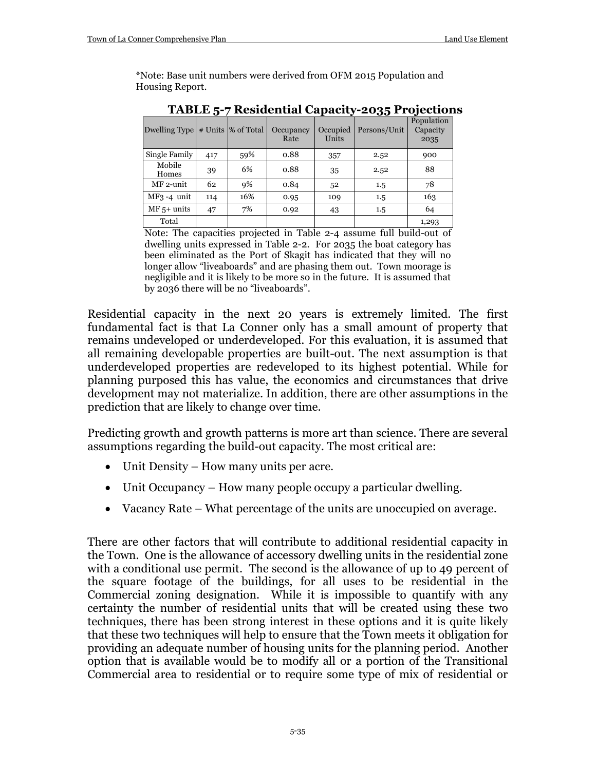\*Note: Base unit numbers were derived from OFM 2015 Population and Housing Report.

| Dwelling Type   |     | # Units  % of Total | Occupancy<br>Rate | Occupied<br>Units | Persons/Unit | Population<br>Capacity<br>2035 |
|-----------------|-----|---------------------|-------------------|-------------------|--------------|--------------------------------|
| Single Family   | 417 | 59%                 | 0.88              | 357               | 2.52         | 900                            |
| Mobile<br>Homes | 39  | 6%                  | 0.88              | 35                | 2.52         | 88                             |
| MF 2-unit       | 62  | 9%                  | 0.84              | 52                | $1.5\,$      | 78                             |
| $MF3 - 4$ unit  | 114 | 16%                 | 0.95              | 109               | 1.5          | 163                            |
| $MF 5+ units$   | 47  | 7%                  | 0.92              | 43                | 1.5          | 64                             |
| Total           |     |                     |                   |                   |              | 1,293                          |

**TABLE 5-7 Residential Capacity-2035 Projections**

Note: The capacities projected in Table 2-4 assume full build-out of dwelling units expressed in Table 2-2. For 2035 the boat category has been eliminated as the Port of Skagit has indicated that they will no longer allow "liveaboards" and are phasing them out. Town moorage is negligible and it is likely to be more so in the future. It is assumed that by 2036 there will be no "liveaboards".

Residential capacity in the next 20 years is extremely limited. The first fundamental fact is that La Conner only has a small amount of property that remains undeveloped or underdeveloped. For this evaluation, it is assumed that all remaining developable properties are built-out. The next assumption is that underdeveloped properties are redeveloped to its highest potential. While for planning purposed this has value, the economics and circumstances that drive development may not materialize. In addition, there are other assumptions in the prediction that are likely to change over time.

Predicting growth and growth patterns is more art than science. There are several assumptions regarding the build-out capacity. The most critical are:

- Unit Density How many units per acre.
- Unit Occupancy How many people occupy a particular dwelling.
- Vacancy Rate What percentage of the units are unoccupied on average.

There are other factors that will contribute to additional residential capacity in the Town. One is the allowance of accessory dwelling units in the residential zone with a conditional use permit. The second is the allowance of up to 49 percent of the square footage of the buildings, for all uses to be residential in the Commercial zoning designation. While it is impossible to quantify with any certainty the number of residential units that will be created using these two techniques, there has been strong interest in these options and it is quite likely that these two techniques will help to ensure that the Town meets it obligation for providing an adequate number of housing units for the planning period. Another option that is available would be to modify all or a portion of the Transitional Commercial area to residential or to require some type of mix of residential or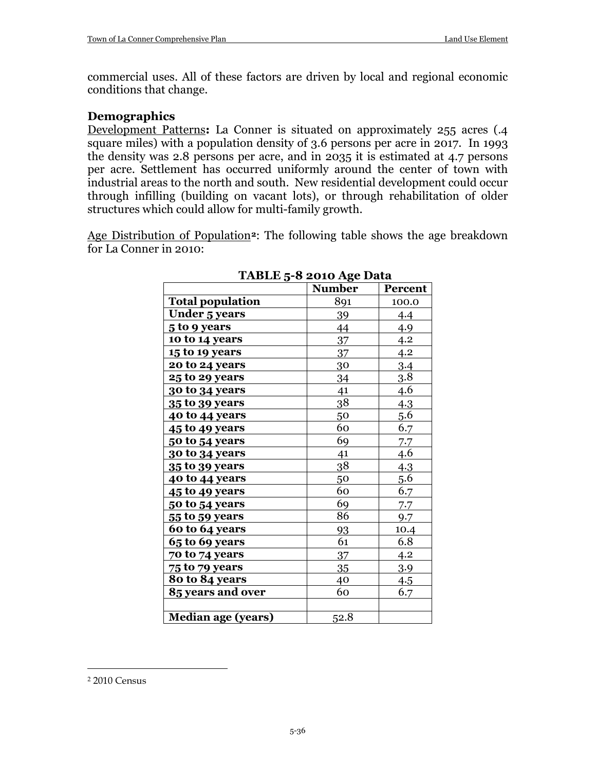commercial uses. All of these factors are driven by local and regional economic conditions that change.

#### **Demographics**

Development Patterns**:** La Conner is situated on approximately 255 acres (.4 square miles) with a population density of 3.6 persons per acre in 2017. In 1993 the density was 2.8 persons per acre, and in 2035 it is estimated at 4.7 persons per acre. Settlement has occurred uniformly around the center of town with industrial areas to the north and south. New residential development could occur through infilling (building on vacant lots), or through rehabilitation of older structures which could allow for multi-family growth.

Age Distribution of Population**[2](#page-35-0)**: The following table shows the age breakdown for La Conner in 2010:

|                           | Number | Percent          |
|---------------------------|--------|------------------|
| <b>Total population</b>   | 891    | 100.0            |
| <b>Under 5 years</b>      | 39     | 4.4              |
| 5 to 9 years              | 44     | 4.9              |
| 10 to 14 years            | 37     | 4.2              |
| 15 to 19 years            | 37     | 4.2              |
| 20 to 24 years            | 30     | 3.4              |
| <b>25 to 29 years</b>     | 34     | $3.\overline{8}$ |
| 30 to 34 years            | 41     | 4.6              |
| 35 to 39 years            | 38     | 4.3              |
| 40 to 44 years            | 50     | <u>5.6</u>       |
| 45 to 49 years            | 60     | 6.7              |
| 50 to 54 years            | 69     | 7.7              |
| 30 to 34 years            | 41     | 4.6              |
| 35 to 39 years            | 38     | 4.3              |
| 40 to 44 years            | 50     | 5.6              |
| 45 to 49 years            | 60     | 6.7              |
| 50 to 54 years            | 69     | 7.7              |
| 55 to 59 years            | 86     | 9.7              |
| 60 to 64 years            | 93     | 10.4             |
| 65 to 69 years            | 61     | 6.8              |
| 70 to 74 years            | 37     | 4.2              |
| 75 to 79 years            | 35     | 3.9              |
| 80 to 84 years            | 40     | 4.5              |
| 85 years and over         | 60     | 6.7              |
|                           |        |                  |
| <b>Median age (years)</b> | 52.8   |                  |

#### **TABLE 5-8 2010 Age Data**

 $\overline{a}$ 

<span id="page-35-0"></span><sup>2</sup> 2010 Census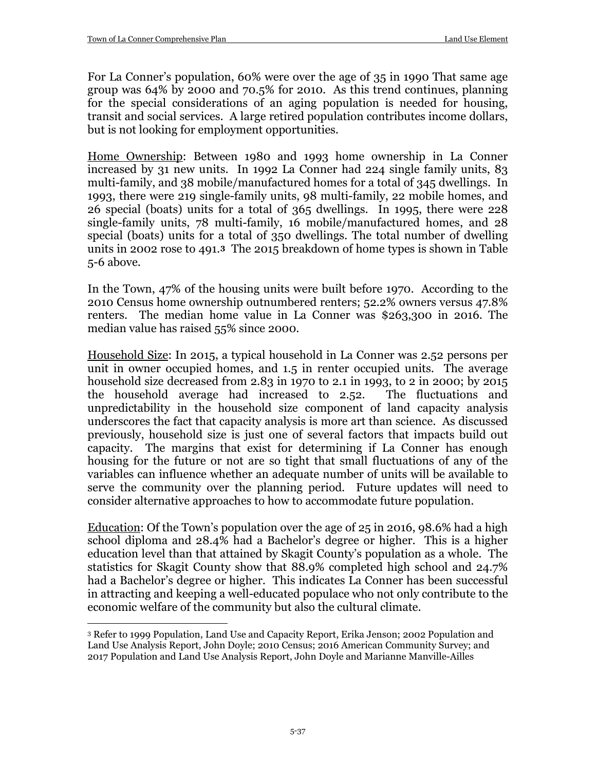For La Conner's population, 60% were over the age of 35 in 1990 That same age group was 64% by 2000 and 70.5% for 2010. As this trend continues, planning for the special considerations of an aging population is needed for housing, transit and social services. A large retired population contributes income dollars, but is not looking for employment opportunities.

Home Ownership: Between 1980 and 1993 home ownership in La Conner increased by 31 new units. In 1992 La Conner had 224 single family units, 83 multi-family, and 38 mobile/manufactured homes for a total of 345 dwellings. In 1993, there were 219 single-family units, 98 multi-family, 22 mobile homes, and 26 special (boats) units for a total of 365 dwellings. In 1995, there were 228 single-family units, 78 multi-family, 16 mobile/manufactured homes, and 28 special (boats) units for a total of 350 dwellings. The total number of dwelling units in 2002 rose to 491.**[3](#page-36-0)** The 2015 breakdown of home types is shown in Table 5-6 above.

In the Town, 47% of the housing units were built before 1970. According to the 2010 Census home ownership outnumbered renters; 52.2% owners versus 47.8% renters. The median home value in La Conner was \$263,300 in 2016. The median value has raised 55% since 2000.

Household Size: In 2015, a typical household in La Conner was 2.52 persons per unit in owner occupied homes, and 1.5 in renter occupied units. The average household size decreased from 2.83 in 1970 to 2.1 in 1993, to 2 in 2000; by 2015 the household average had increased to 2.52. The fluctuations and unpredictability in the household size component of land capacity analysis underscores the fact that capacity analysis is more art than science. As discussed previously, household size is just one of several factors that impacts build out capacity. The margins that exist for determining if La Conner has enough housing for the future or not are so tight that small fluctuations of any of the variables can influence whether an adequate number of units will be available to serve the community over the planning period. Future updates will need to consider alternative approaches to how to accommodate future population.

Education: Of the Town's population over the age of 25 in 2016, 98.6% had a high school diploma and 28.4% had a Bachelor's degree or higher. This is a higher education level than that attained by Skagit County's population as a whole. The statistics for Skagit County show that 88.9% completed high school and 24.7% had a Bachelor's degree or higher. This indicates La Conner has been successful in attracting and keeping a well-educated populace who not only contribute to the economic welfare of the community but also the cultural climate.

<span id="page-36-0"></span> $\overline{a}$ <sup>3</sup> Refer to 1999 Population, Land Use and Capacity Report, Erika Jenson; 2002 Population and Land Use Analysis Report, John Doyle; 2010 Census; 2016 American Community Survey; and 2017 Population and Land Use Analysis Report, John Doyle and Marianne Manville-Ailles